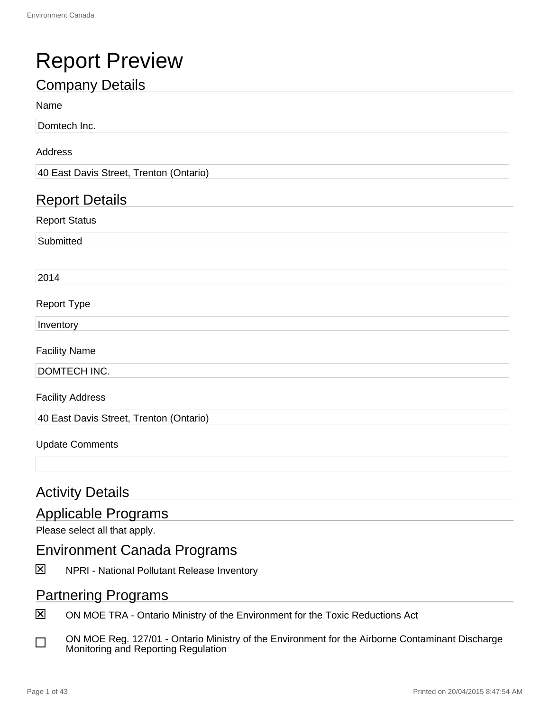## Report Preview

### Company Details

#### Name

Domtech Inc.

#### Address

40 East Davis Street, Trenton (Ontario)

#### Report Details

Report Status

**Submitted** 

2014

#### Report Type

Inventory

Facility Name

DOMTECH INC.

Facility Address

40 East Davis Street, Trenton (Ontario)

#### Update Comments

#### **Activity Details**

#### Applicable Programs

Please select all that apply.

#### Environment Canada Programs

冈 NPRI - National Pollutant Release Inventory

#### Partnering Programs

冈 ON MOE TRA - Ontario Ministry of the Environment for the Toxic Reductions Act

ON MOE Reg. 127/01 - Ontario Ministry of the Environment for the Airborne Contaminant Discharge П Monitoring and Reporting Regulation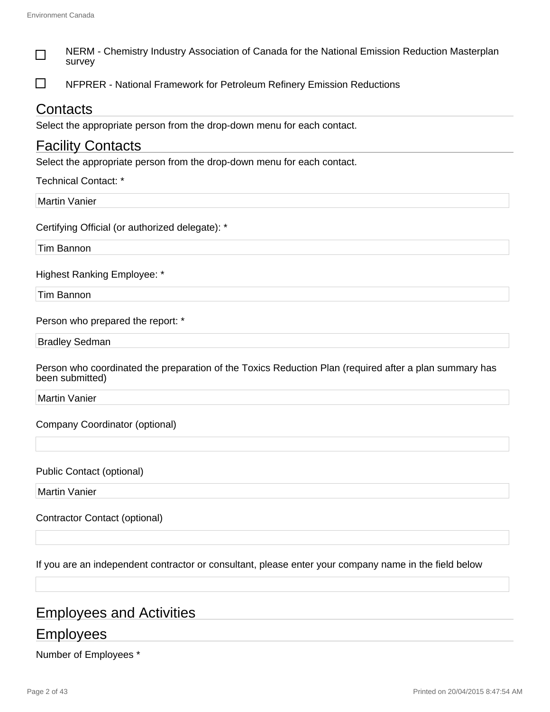| NERM - Chemistry Industry Association of Canada for the National Emission Reduction Masterplan<br>survey                  |
|---------------------------------------------------------------------------------------------------------------------------|
| NFPRER - National Framework for Petroleum Refinery Emission Reductions                                                    |
| Contacts                                                                                                                  |
| Select the appropriate person from the drop-down menu for each contact.                                                   |
| <b>Facility Contacts</b>                                                                                                  |
| Select the appropriate person from the drop-down menu for each contact.                                                   |
| <b>Technical Contact: *</b>                                                                                               |
| <b>Martin Vanier</b>                                                                                                      |
| Certifying Official (or authorized delegate): *                                                                           |
| <b>Tim Bannon</b>                                                                                                         |
| <b>Highest Ranking Employee: *</b>                                                                                        |
| Tim Bannon                                                                                                                |
| Person who prepared the report: *                                                                                         |
| <b>Bradley Sedman</b>                                                                                                     |
| Person who coordinated the preparation of the Toxics Reduction Plan (required after a plan summary has<br>been submitted) |
| <b>Martin Vanier</b>                                                                                                      |
| Company Coordinator (optional)                                                                                            |
| <b>Public Contact (optional)</b>                                                                                          |
| <b>Martin Vanier</b>                                                                                                      |
| <b>Contractor Contact (optional)</b>                                                                                      |
| If you are an independent contractor or consultant, please enter your company name in the field below                     |
|                                                                                                                           |

## Employees and Activities

## **Employees**

Number of Employees \*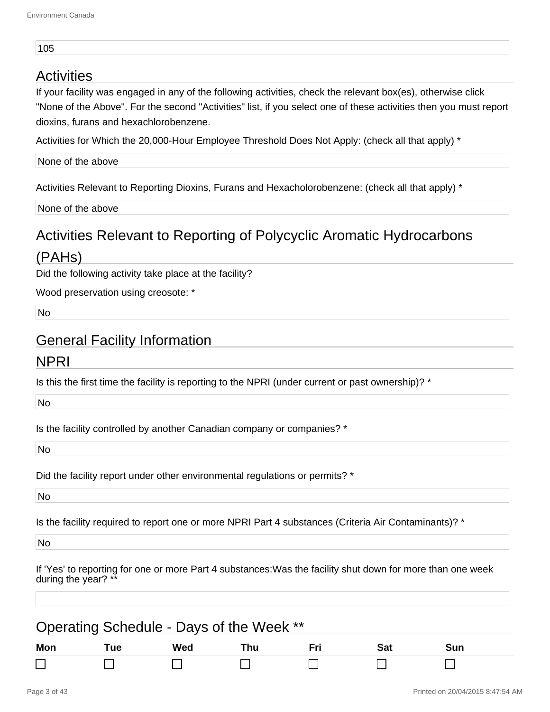#### 105

#### **Activities**

If your facility was engaged in any of the following activities, check the relevant box(es), otherwise click "None of the Above". For the second "Activities" list, if you select one of these activities then you must report dioxins, furans and hexachlorobenzene.

Activities for Which the 20,000-Hour Employee Threshold Does Not Apply: (check all that apply) \*

None of the above

Activities Relevant to Reporting Dioxins, Furans and Hexacholorobenzene: (check all that apply) \*

None of the above

## Activities Relevant to Reporting of Polycyclic Aromatic Hydrocarbons

#### (PAHs)

Did the following activity take place at the facility?

Wood preservation using creosote: \*

No

#### General Facility Information

#### NPRI

Is this the first time the facility is reporting to the NPRI (under current or past ownership)? \*

No

Is the facility controlled by another Canadian company or companies? \*

No

Did the facility report under other environmental regulations or permits? \*

No

Is the facility required to report one or more NPRI Part 4 substances (Criteria Air Contaminants)? \*

No

If 'Yes' to reporting for one or more Part 4 substances:Was the facility shut down for more than one week during the year?

| Operating Schedule - Days of the Week ** |     |     |     |  |     |     |  |
|------------------------------------------|-----|-----|-----|--|-----|-----|--|
| Mon                                      | Tue | Wed | Thu |  | Sat | Sun |  |
|                                          |     |     |     |  |     |     |  |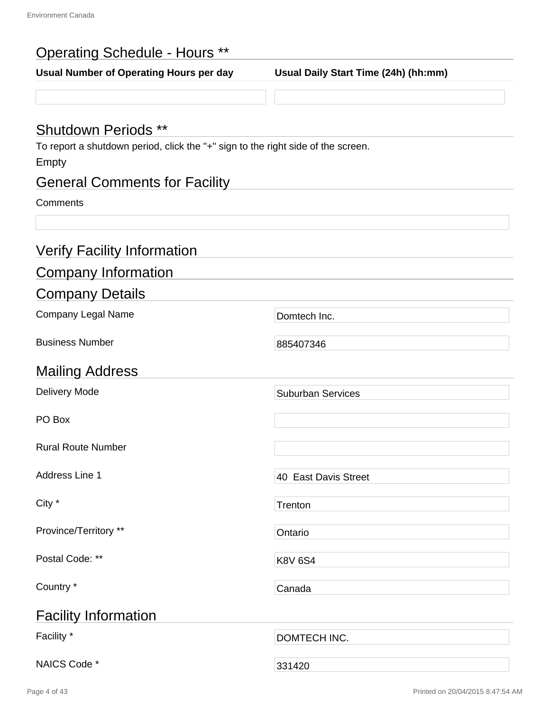| <b>Operating Schedule - Hours **</b>                                                                                    |                                      |  |  |  |
|-------------------------------------------------------------------------------------------------------------------------|--------------------------------------|--|--|--|
| Usual Number of Operating Hours per day                                                                                 | Usual Daily Start Time (24h) (hh:mm) |  |  |  |
|                                                                                                                         |                                      |  |  |  |
| <b>Shutdown Periods **</b><br>To report a shutdown period, click the "+" sign to the right side of the screen.<br>Empty |                                      |  |  |  |
| <b>General Comments for Facility</b>                                                                                    |                                      |  |  |  |
| Comments                                                                                                                |                                      |  |  |  |
|                                                                                                                         |                                      |  |  |  |
| <b>Verify Facility Information</b>                                                                                      |                                      |  |  |  |
| <b>Company Information</b>                                                                                              |                                      |  |  |  |
| <b>Company Details</b>                                                                                                  |                                      |  |  |  |
| Company Legal Name                                                                                                      | Domtech Inc.                         |  |  |  |
| <b>Business Number</b>                                                                                                  | 885407346                            |  |  |  |
| <b>Mailing Address</b>                                                                                                  |                                      |  |  |  |
| <b>Delivery Mode</b>                                                                                                    | <b>Suburban Services</b>             |  |  |  |
| PO Box                                                                                                                  |                                      |  |  |  |
| <b>Rural Route Number</b>                                                                                               |                                      |  |  |  |
| Address Line 1                                                                                                          | 40 East Davis Street                 |  |  |  |
| City *                                                                                                                  | Trenton                              |  |  |  |
| Province/Territory **                                                                                                   | Ontario                              |  |  |  |
| Postal Code: **                                                                                                         | <b>K8V 6S4</b>                       |  |  |  |
| Country *                                                                                                               | Canada                               |  |  |  |
| <b>Facility Information</b>                                                                                             |                                      |  |  |  |
| Facility *                                                                                                              | DOMTECH INC.                         |  |  |  |
| NAICS Code *                                                                                                            | 331420                               |  |  |  |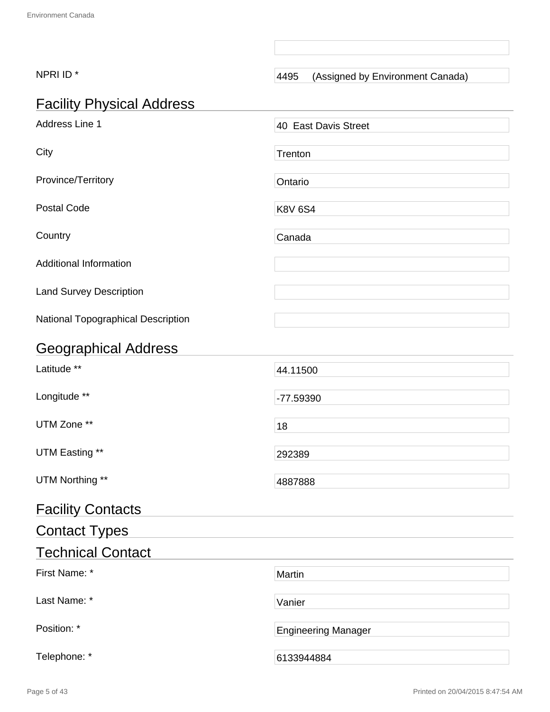| NPRI ID*                           | 4495<br>(Assigned by Environment Canada) |
|------------------------------------|------------------------------------------|
| <b>Facility Physical Address</b>   |                                          |
| Address Line 1                     | 40 East Davis Street                     |
| City                               | Trenton                                  |
| Province/Territory                 | Ontario                                  |
| <b>Postal Code</b>                 | <b>K8V 6S4</b>                           |
| Country                            | Canada                                   |
| <b>Additional Information</b>      |                                          |
| <b>Land Survey Description</b>     |                                          |
| National Topographical Description |                                          |
| <b>Geographical Address</b>        |                                          |
| Latitude **                        | 44.11500                                 |
| Longitude **                       | -77.59390                                |
| UTM Zone **                        | 18                                       |
| UTM Easting **                     | 292389                                   |
| UTM Northing **                    | 4887888                                  |
| <b>Facility Contacts</b>           |                                          |
| <b>Contact Types</b>               |                                          |
| <b>Technical Contact</b>           |                                          |
| First Name: *                      | Martin                                   |
| Last Name: *                       | Vanier                                   |
| Position: *                        | <b>Engineering Manager</b>               |
| Telephone: *                       | 6133944884                               |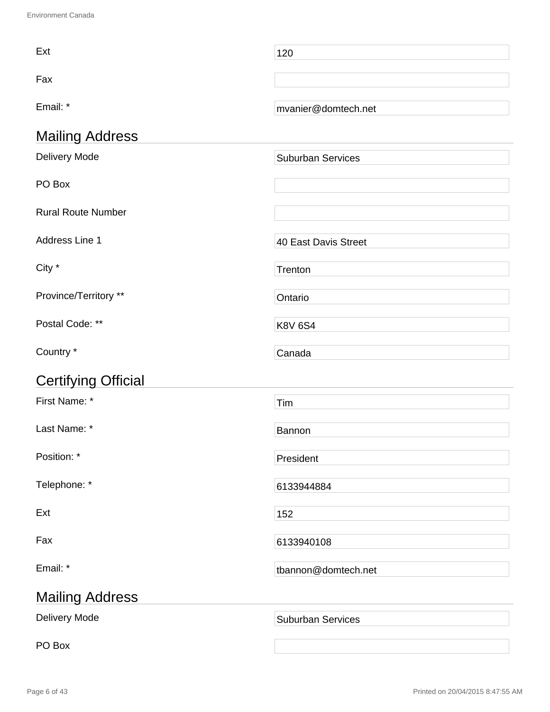| Ext                        | 120                      |  |
|----------------------------|--------------------------|--|
| Fax                        |                          |  |
| Email: *                   | mvanier@domtech.net      |  |
| <b>Mailing Address</b>     |                          |  |
| Delivery Mode              | <b>Suburban Services</b> |  |
| PO Box                     |                          |  |
| <b>Rural Route Number</b>  |                          |  |
| Address Line 1             | 40 East Davis Street     |  |
| City *                     | Trenton                  |  |
| Province/Territory **      | Ontario                  |  |
| Postal Code: **            | <b>K8V 6S4</b>           |  |
| Country *                  | Canada                   |  |
| <b>Certifying Official</b> |                          |  |
| First Name: *              | Tim                      |  |
| Last Name: *               | Bannon                   |  |
| Position: *                | President                |  |
| Telephone: *               | 6133944884               |  |
| Ext                        | 152                      |  |
| Fax                        | 6133940108               |  |
| Email: *                   | tbannon@domtech.net      |  |
| <b>Mailing Address</b>     |                          |  |
| Delivery Mode              | <b>Suburban Services</b> |  |
| PO Box                     |                          |  |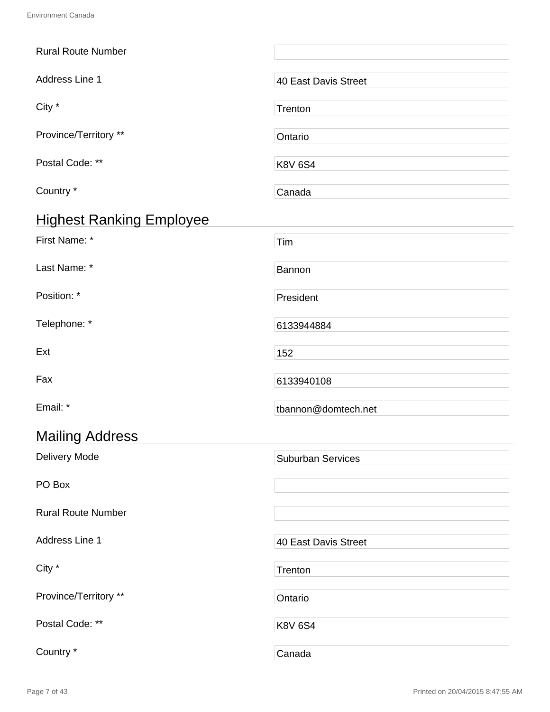| <b>Rural Route Number</b>       |                          |
|---------------------------------|--------------------------|
| Address Line 1                  | 40 East Davis Street     |
| City *                          | Trenton                  |
| Province/Territory **           | Ontario                  |
| Postal Code: **                 | <b>K8V 6S4</b>           |
| Country *                       | Canada                   |
| <b>Highest Ranking Employee</b> |                          |
| First Name: *                   | Tim                      |
| Last Name: *                    | Bannon                   |
| Position: *                     | President                |
| Telephone: *                    | 6133944884               |
| Ext                             | 152                      |
| Fax                             | 6133940108               |
| Email: *                        | tbannon@domtech.net      |
| <b>Mailing Address</b>          |                          |
| <b>Delivery Mode</b>            | <b>Suburban Services</b> |
| PO Box                          |                          |
| <b>Rural Route Number</b>       |                          |
| Address Line 1                  | 40 East Davis Street     |
| City *                          | Trenton                  |
| Province/Territory **           | Ontario                  |
| Postal Code: **                 | <b>K8V 6S4</b>           |
| Country *                       | Canada                   |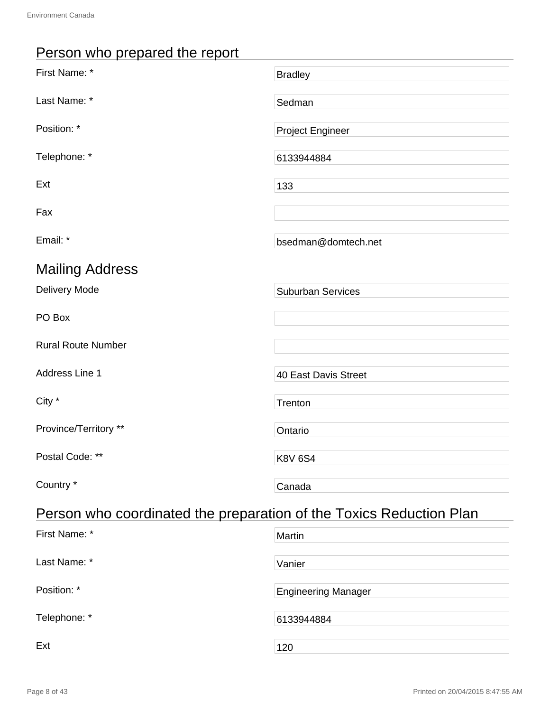## Person who prepared the report

| First Name: *                                                       | <b>Bradley</b>           |  |  |
|---------------------------------------------------------------------|--------------------------|--|--|
| Last Name: *                                                        | Sedman                   |  |  |
| Position: *                                                         | <b>Project Engineer</b>  |  |  |
| Telephone: *                                                        | 6133944884               |  |  |
| Ext                                                                 | 133                      |  |  |
| Fax                                                                 |                          |  |  |
| Email: *                                                            | bsedman@domtech.net      |  |  |
| <b>Mailing Address</b>                                              |                          |  |  |
| <b>Delivery Mode</b>                                                | <b>Suburban Services</b> |  |  |
| PO Box                                                              |                          |  |  |
| <b>Rural Route Number</b>                                           |                          |  |  |
| Address Line 1                                                      | 40 East Davis Street     |  |  |
| City *                                                              | Trenton                  |  |  |
| Province/Territory **                                               | Ontario                  |  |  |
| Postal Code: **                                                     | <b>K8V 6S4</b>           |  |  |
| Country *                                                           | Canada                   |  |  |
| Person who coordinated the preparation of the Toxics Reduction Plan |                          |  |  |

| First Name: * | Martin                     |
|---------------|----------------------------|
| Last Name: *  | Vanier                     |
| Position: *   | <b>Engineering Manager</b> |
| Telephone: *  | 6133944884                 |
| Ext           | 120                        |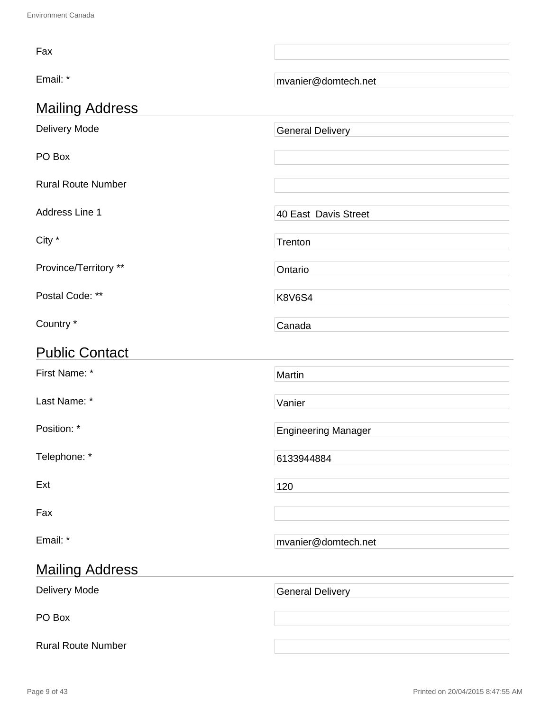| Fax                       |                            |
|---------------------------|----------------------------|
| Email: *                  | mvanier@domtech.net        |
| <b>Mailing Address</b>    |                            |
| Delivery Mode             | <b>General Delivery</b>    |
| PO Box                    |                            |
| <b>Rural Route Number</b> |                            |
| Address Line 1            | 40 East Davis Street       |
| City *                    | Trenton                    |
| Province/Territory **     | Ontario                    |
| Postal Code: **           | <b>K8V6S4</b>              |
| Country *                 | Canada                     |
| <b>Public Contact</b>     |                            |
| First Name: *             | Martin                     |
| Last Name: *              | Vanier                     |
| Position: *               | <b>Engineering Manager</b> |
| Telephone: *              | 6133944884                 |
| Ext                       | 120                        |
| Fax                       |                            |
| Email: *                  | mvanier@domtech.net        |
| <b>Mailing Address</b>    |                            |
| Delivery Mode             | <b>General Delivery</b>    |
| PO Box                    |                            |
|                           |                            |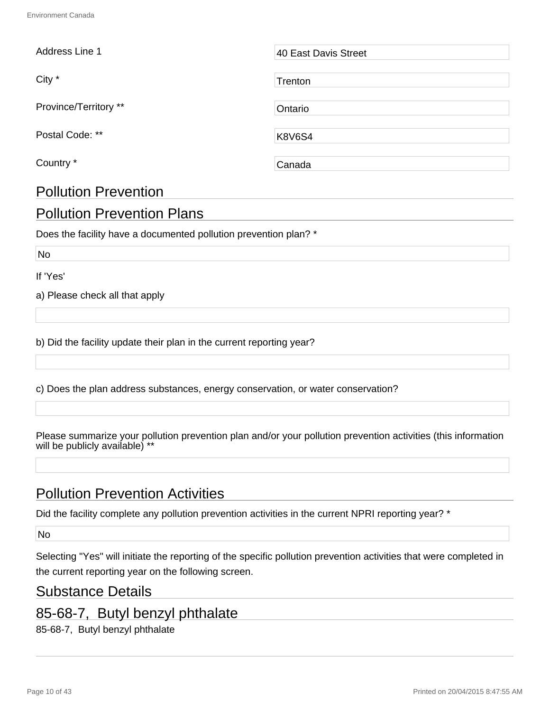| Address Line 1        | 40 East Davis Street |
|-----------------------|----------------------|
| City *                | Trenton              |
| Province/Territory ** | Ontario              |
| Postal Code: **       | <b>K8V6S4</b>        |
| Country *             | Canada               |

### Pollution Prevention Plans

Does the facility have a documented pollution prevention plan? \*

No

If 'Yes'

a) Please check all that apply

Pollution Prevention

b) Did the facility update their plan in the current reporting year?

c) Does the plan address substances, energy conservation, or water conservation?

Please summarize your pollution prevention plan and/or your pollution prevention activities (this information will be publicly available) \*\*

### Pollution Prevention Activities

Did the facility complete any pollution prevention activities in the current NPRI reporting year? \*

No

Selecting "Yes" will initiate the reporting of the specific pollution prevention activities that were completed in the current reporting year on the following screen.

#### Substance Details

### 85-68-7, Butyl benzyl phthalate

85-68-7, Butyl benzyl phthalate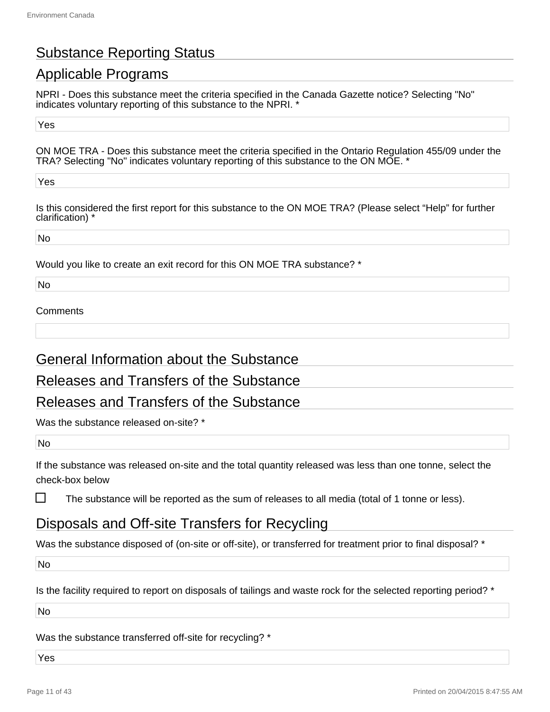### Substance Reporting Status

### Applicable Programs

NPRI - Does this substance meet the criteria specified in the Canada Gazette notice? Selecting "No" indicates voluntary reporting of this substance to the NPRI. \*

Yes

ON MOE TRA - Does this substance meet the criteria specified in the Ontario Regulation 455/09 under the TRA? Selecting "No" indicates voluntary reporting of this substance to the ON MOE. \*

Yes

Is this considered the first report for this substance to the ON MOE TRA? (Please select "Help" for further clarification) \*

No

Would you like to create an exit record for this ON MOE TRA substance? \*

No

#### **Comments**

#### General Information about the Substance

#### Releases and Transfers of the Substance

#### Releases and Transfers of the Substance

Was the substance released on-site? \*

No

П

If the substance was released on-site and the total quantity released was less than one tonne, select the check-box below

The substance will be reported as the sum of releases to all media (total of 1 tonne or less).

#### Disposals and Off-site Transfers for Recycling

Was the substance disposed of (on-site or off-site), or transferred for treatment prior to final disposal? \*

No

Is the facility required to report on disposals of tailings and waste rock for the selected reporting period? \*

No

Was the substance transferred off-site for recycling? \*

Yes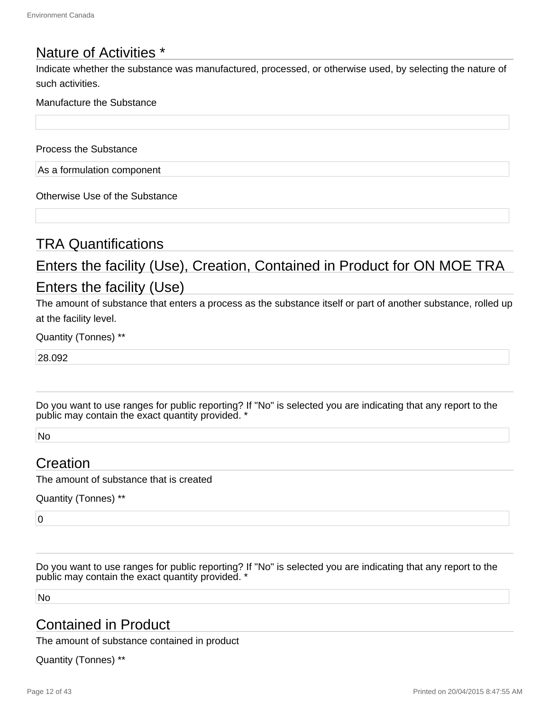#### Nature of Activities \*

Indicate whether the substance was manufactured, processed, or otherwise used, by selecting the nature of such activities.

#### Manufacture the Substance

Process the Substance

As a formulation component

Otherwise Use of the Substance

#### TRA Quantifications

## Enters the facility (Use), Creation, Contained in Product for ON MOE TRA Enters the facility (Use)

The amount of substance that enters a process as the substance itself or part of another substance, rolled up at the facility level.

Quantity (Tonnes) \*\*

28.092

Do you want to use ranges for public reporting? If "No" is selected you are indicating that any report to the public may contain the exact quantity provided. '

No

#### Creation

The amount of substance that is created

Quantity (Tonnes) \*\*

 $\overline{0}$ 

Do you want to use ranges for public reporting? If "No" is selected you are indicating that any report to the public may contain the exact quantity provided. \*

No

#### Contained in Product

The amount of substance contained in product

Quantity (Tonnes) \*\*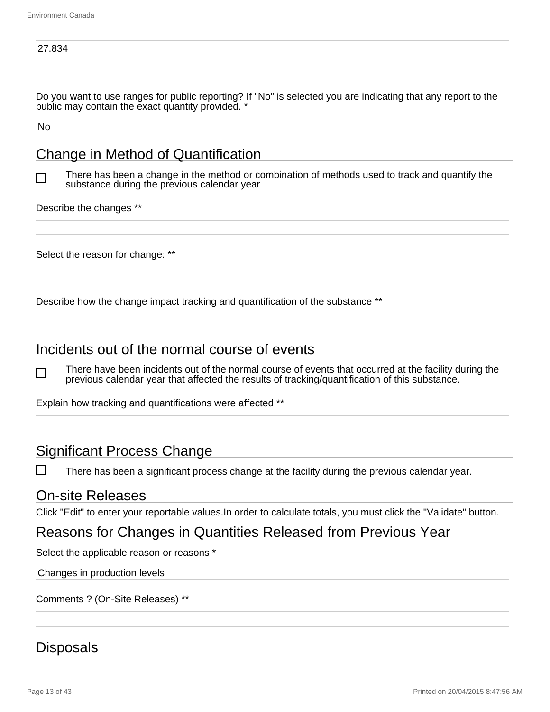Do you want to use ranges for public reporting? If "No" is selected you are indicating that any report to the public may contain the exact quantity provided. \*

No

### Change in Method of Quantification

There has been a change in the method or combination of methods used to track and quantify the substance during the previous calendar year

Describe the changes \*\*

Select the reason for change: \*\*

Describe how the change impact tracking and quantification of the substance \*\*

#### Incidents out of the normal course of events

There have been incidents out of the normal course of events that occurred at the facility during the  $\blacksquare$ previous calendar year that affected the results of tracking/quantification of this substance.

Explain how tracking and quantifications were affected \*\*

#### Significant Process Change

П There has been a significant process change at the facility during the previous calendar year.

#### On-site Releases

Click "Edit" to enter your reportable values.In order to calculate totals, you must click the "Validate" button.

#### Reasons for Changes in Quantities Released from Previous Year

Select the applicable reason or reasons \*

Changes in production levels

Comments ? (On-Site Releases) \*\*

#### **Disposals**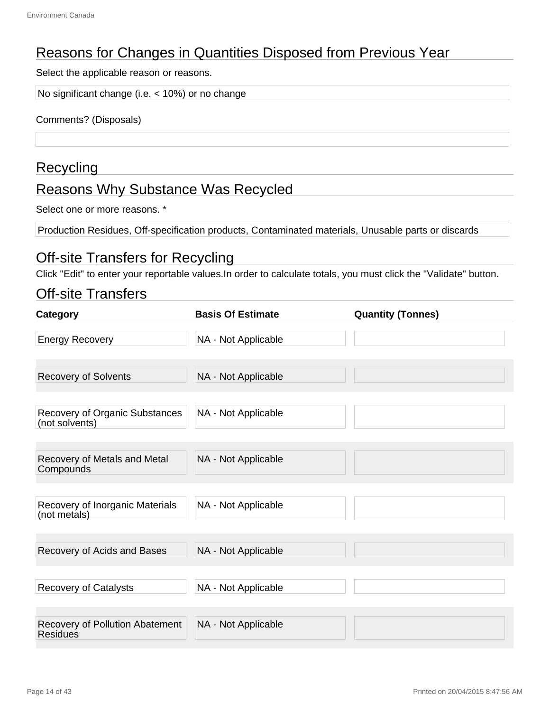### Reasons for Changes in Quantities Disposed from Previous Year

Select the applicable reason or reasons.

No significant change (i.e. < 10%) or no change

Comments? (Disposals)

#### **Recycling**

### Reasons Why Substance Was Recycled

Select one or more reasons. \*

Production Residues, Off-specification products, Contaminated materials, Unusable parts or discards

#### Off-site Transfers for Recycling

Click "Edit" to enter your reportable values.In order to calculate totals, you must click the "Validate" button.

#### Off-site Transfers

| Category                                         | <b>Basis Of Estimate</b> | <b>Quantity (Tonnes)</b> |
|--------------------------------------------------|--------------------------|--------------------------|
| <b>Energy Recovery</b>                           | NA - Not Applicable      |                          |
| <b>Recovery of Solvents</b>                      | NA - Not Applicable      |                          |
| Recovery of Organic Substances<br>(not solvents) | NA - Not Applicable      |                          |
| Recovery of Metals and Metal<br>Compounds        | NA - Not Applicable      |                          |
| Recovery of Inorganic Materials<br>(not metals)  | NA - Not Applicable      |                          |
| Recovery of Acids and Bases                      | NA - Not Applicable      |                          |
| <b>Recovery of Catalysts</b>                     | NA - Not Applicable      |                          |
| Recovery of Pollution Abatement<br>Residues      | NA - Not Applicable      |                          |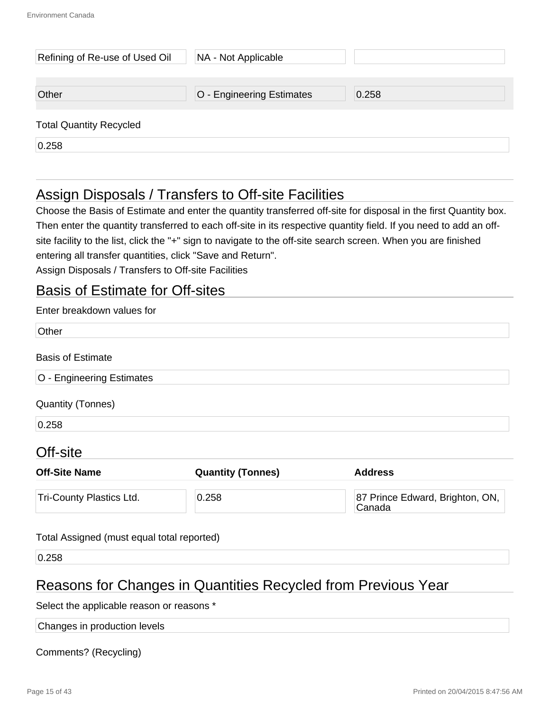| Refining of Re-use of Used Oil | NA - Not Applicable       |       |
|--------------------------------|---------------------------|-------|
| Other                          | O - Engineering Estimates | 0.258 |
| <b>Total Quantity Recycled</b> |                           |       |
| 0.258                          |                           |       |

### Assign Disposals / Transfers to Off-site Facilities

Choose the Basis of Estimate and enter the quantity transferred off-site for disposal in the first Quantity box. Then enter the quantity transferred to each off-site in its respective quantity field. If you need to add an offsite facility to the list, click the "+" sign to navigate to the off-site search screen. When you are finished entering all transfer quantities, click "Save and Return".

Assign Disposals / Transfers to Off-site Facilities

#### Basis of Estimate for Off-sites

| <b>Quantity (Tonnes)</b> | <b>Address</b>                            |
|--------------------------|-------------------------------------------|
| 0.258                    | 87 Prince Edward, Brighton, ON,<br>Canada |
|                          |                                           |

#### Total Assigned (must equal total reported)

0.258

#### Reasons for Changes in Quantities Recycled from Previous Year

Select the applicable reason or reasons \*

Changes in production levels

Comments? (Recycling)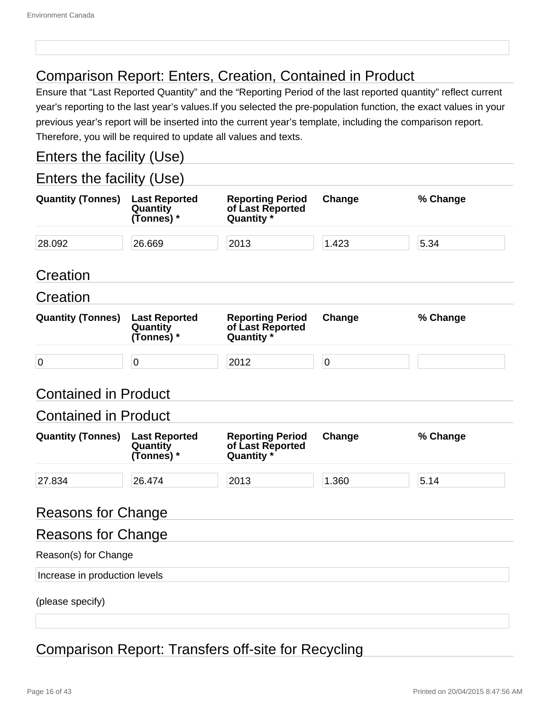### Comparison Report: Enters, Creation, Contained in Product

Ensure that "Last Reported Quantity" and the "Reporting Period of the last reported quantity" reflect current year's reporting to the last year's values.If you selected the pre-population function, the exact values in your previous year's report will be inserted into the current year's template, including the comparison report. Therefore, you will be required to update all values and texts.

### Enters the facility (Use)

#### Enters the facility (Use)

| <b>Quantity (Tonnes)</b>      | <b>Last Reported</b><br>Quantity<br>(Tonnes) * | <b>Reporting Period</b><br>of Last Reported<br>Quantity * | Change      | % Change |
|-------------------------------|------------------------------------------------|-----------------------------------------------------------|-------------|----------|
| 28.092                        | 26.669                                         | 2013                                                      | 1.423       | 5.34     |
| Creation                      |                                                |                                                           |             |          |
| Creation                      |                                                |                                                           |             |          |
| <b>Quantity (Tonnes)</b>      | <b>Last Reported</b><br>Quantity<br>(Tonnes) * | <b>Reporting Period</b><br>of Last Reported<br>Quantity * | Change      | % Change |
| $\overline{0}$                | $\overline{0}$                                 | 2012                                                      | $\mathbf 0$ |          |
| <b>Contained in Product</b>   |                                                |                                                           |             |          |
| <b>Contained in Product</b>   |                                                |                                                           |             |          |
| <b>Quantity (Tonnes)</b>      | <b>Last Reported</b><br>Quantity<br>(Tonnes) * | <b>Reporting Period</b><br>of Last Reported<br>Quantity * | Change      | % Change |
| 27.834                        | 26.474                                         | 2013                                                      | 1.360       | 5.14     |
| <b>Reasons for Change</b>     |                                                |                                                           |             |          |
| <b>Reasons for Change</b>     |                                                |                                                           |             |          |
| Reason(s) for Change          |                                                |                                                           |             |          |
| Increase in production levels |                                                |                                                           |             |          |
| (please specify)              |                                                |                                                           |             |          |

### Comparison Report: Transfers off-site for Recycling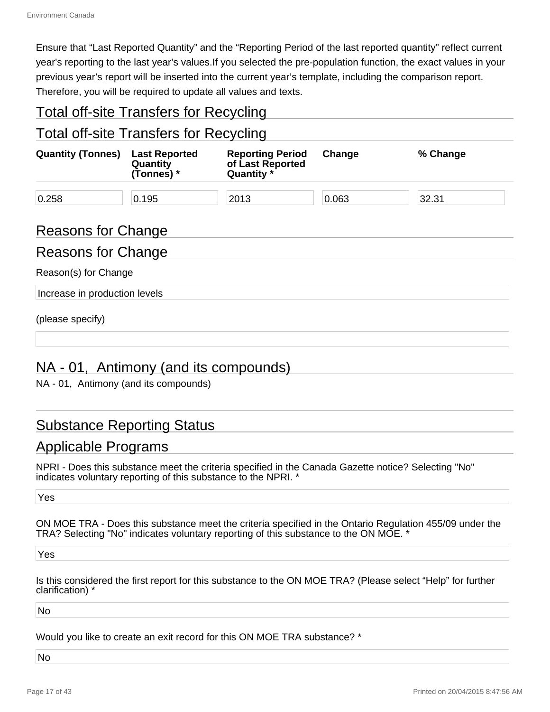Ensure that "Last Reported Quantity" and the "Reporting Period of the last reported quantity" reflect current year's reporting to the last year's values.If you selected the pre-population function, the exact values in your previous year's report will be inserted into the current year's template, including the comparison report. Therefore, you will be required to update all values and texts.

#### Total off-site Transfers for Recycling

#### Total off-site Transfers for Recycling

| <b>Quantity (Tonnes)</b> | <b>Last Reported</b><br>Quantity<br>(Tonnes) * | <b>Reporting Period</b><br>of Last Reported<br>Quantity * | Change | % Change |
|--------------------------|------------------------------------------------|-----------------------------------------------------------|--------|----------|
| 0.258                    | 0.195                                          | 2013                                                      | 0.063  | 32.31    |

#### Reasons for Change

#### Reasons for Change

Reason(s) for Change

Increase in production levels

(please specify)

#### NA - 01, Antimony (and its compounds)

NA - 01, Antimony (and its compounds)

#### Substance Reporting Status

#### Applicable Programs

NPRI - Does this substance meet the criteria specified in the Canada Gazette notice? Selecting "No" indicates voluntary reporting of this substance to the NPRI. \*

Yes

ON MOE TRA - Does this substance meet the criteria specified in the Ontario Regulation 455/09 under the TRA? Selecting "No" indicates voluntary reporting of this substance to the ON MOE. \*

Yes

Is this considered the first report for this substance to the ON MOE TRA? (Please select "Help" for further clarification) \*

No

Would you like to create an exit record for this ON MOE TRA substance? \*

No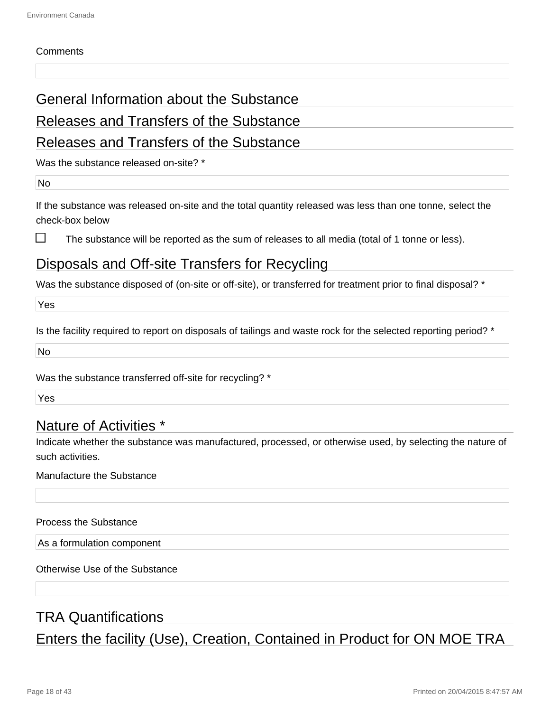#### **Comments**

#### General Information about the Substance

#### Releases and Transfers of the Substance

#### Releases and Transfers of the Substance

Was the substance released on-site? \*

No

If the substance was released on-site and the total quantity released was less than one tonne, select the check-box below

П

The substance will be reported as the sum of releases to all media (total of 1 tonne or less).

#### Disposals and Off-site Transfers for Recycling

Was the substance disposed of (on-site or off-site), or transferred for treatment prior to final disposal? \*

Yes

Is the facility required to report on disposals of tailings and waste rock for the selected reporting period? \*

No

Was the substance transferred off-site for recycling? \*

Yes

#### Nature of Activities \*

Indicate whether the substance was manufactured, processed, or otherwise used, by selecting the nature of such activities.

Manufacture the Substance

Process the Substance

As a formulation component

Otherwise Use of the Substance

#### TRA Quantifications

Enters the facility (Use), Creation, Contained in Product for ON MOE TRA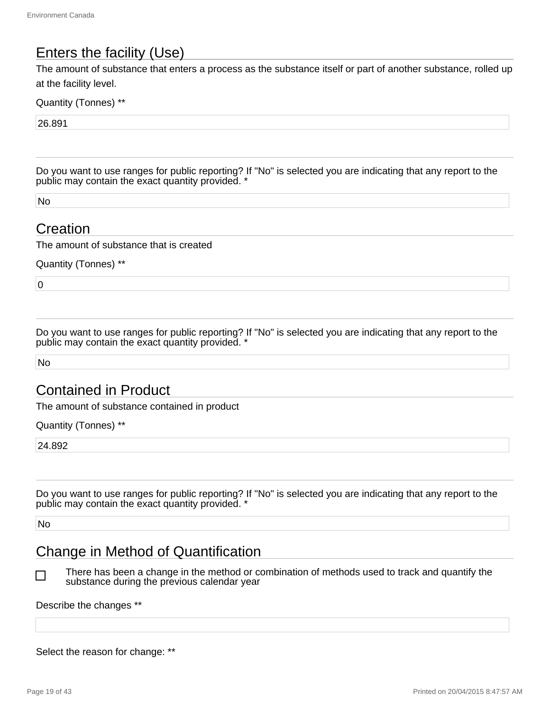### Enters the facility (Use)

The amount of substance that enters a process as the substance itself or part of another substance, rolled up at the facility level.

Quantity (Tonnes) \*\*

26.891

Do you want to use ranges for public reporting? If "No" is selected you are indicating that any report to the public may contain the exact quantity provided. \*

No

#### **Creation**

The amount of substance that is created

Quantity (Tonnes) \*\*

 $\overline{0}$ 

Do you want to use ranges for public reporting? If "No" is selected you are indicating that any report to the public may contain the exact quantity provided. \*

No

### Contained in Product

The amount of substance contained in product

Quantity (Tonnes) \*\*

24.892

Do you want to use ranges for public reporting? If "No" is selected you are indicating that any report to the public may contain the exact quantity provided. \*

No

П

#### Change in Method of Quantification

There has been a change in the method or combination of methods used to track and quantify the substance during the previous calendar year

#### Describe the changes \*\*

Select the reason for change: \*\*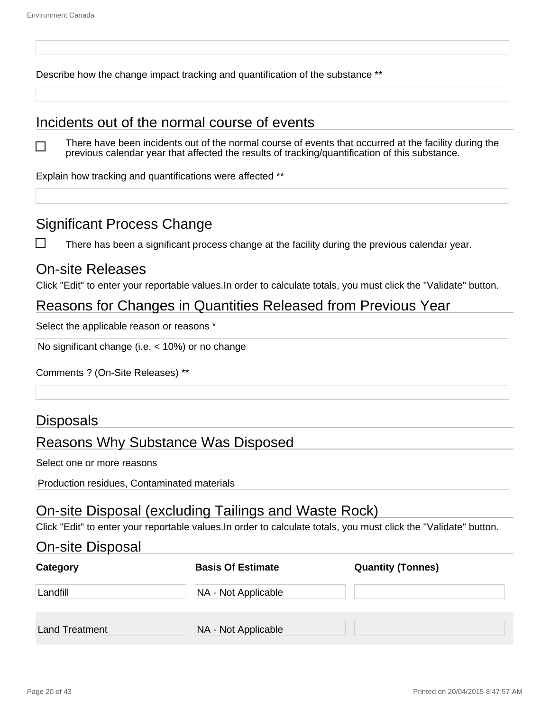$\Box$ 

Describe how the change impact tracking and quantification of the substance \*\*

#### Incidents out of the normal course of events

There have been incidents out of the normal course of events that occurred at the facility during the previous calendar year that affected the results of tracking/quantification of this substance.

Explain how tracking and quantifications were affected \*\*

#### Significant Process Change

 $\Box$ There has been a significant process change at the facility during the previous calendar year.

#### On-site Releases

Click "Edit" to enter your reportable values.In order to calculate totals, you must click the "Validate" button.

#### Reasons for Changes in Quantities Released from Previous Year

Select the applicable reason or reasons \*

No significant change (i.e. < 10%) or no change

Comments ? (On-Site Releases) \*\*

#### **Disposals**

#### Reasons Why Substance Was Disposed

Select one or more reasons

Production residues, Contaminated materials

#### On-site Disposal (excluding Tailings and Waste Rock)

Click "Edit" to enter your reportable values.In order to calculate totals, you must click the "Validate" button.

#### On-site Disposal

| Category       | <b>Basis Of Estimate</b> | <b>Quantity (Tonnes)</b> |
|----------------|--------------------------|--------------------------|
| Landfill       | NA - Not Applicable      |                          |
| Land Treatment | NA - Not Applicable      |                          |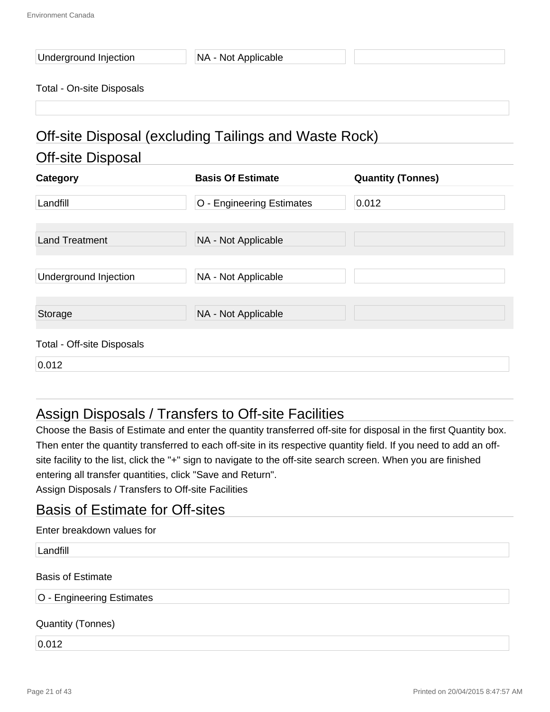| Underground Injection |  |
|-----------------------|--|
|-----------------------|--|

NA - Not Applicable

#### Total - On-site Disposals

## Off-site Disposal (excluding Tailings and Waste Rock)

#### Off-site Disposal

| Category                          | <b>Basis Of Estimate</b>  | <b>Quantity (Tonnes)</b> |
|-----------------------------------|---------------------------|--------------------------|
| Landfill                          | O - Engineering Estimates | 0.012                    |
| <b>Land Treatment</b>             | NA - Not Applicable       |                          |
| Underground Injection             | NA - Not Applicable       |                          |
| Storage                           | NA - Not Applicable       |                          |
| <b>Total - Off-site Disposals</b> |                           |                          |
| 0.012                             |                           |                          |

### Assign Disposals / Transfers to Off-site Facilities

Choose the Basis of Estimate and enter the quantity transferred off-site for disposal in the first Quantity box. Then enter the quantity transferred to each off-site in its respective quantity field. If you need to add an offsite facility to the list, click the "+" sign to navigate to the off-site search screen. When you are finished entering all transfer quantities, click "Save and Return".

Assign Disposals / Transfers to Off-site Facilities

#### Basis of Estimate for Off-sites

| Enter breakdown values for |  |
|----------------------------|--|
|----------------------------|--|

Landfill

#### Basis of Estimate

#### O - Engineering Estimates

#### Quantity (Tonnes)

0.012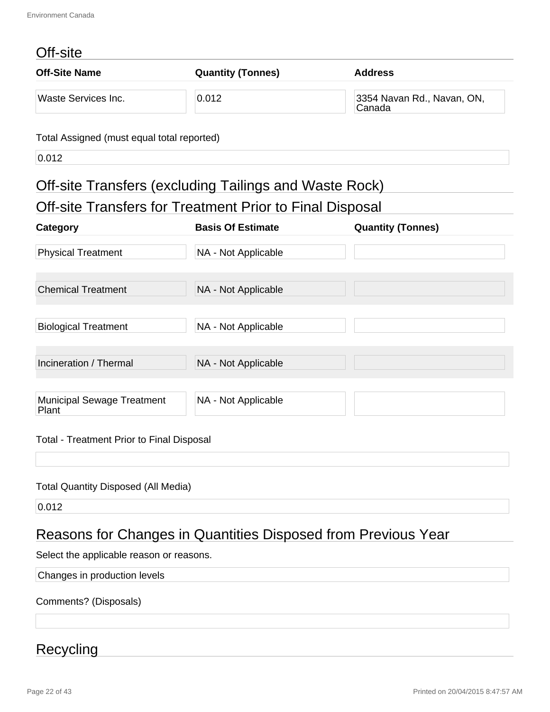### Off-site

| <b>Off-Site Name</b>       | <b>Quantity (Tonnes)</b> | <b>Address</b>                       |
|----------------------------|--------------------------|--------------------------------------|
| <b>Waste Services Inc.</b> | 0.012                    | 3354 Navan Rd., Navan, ON,<br>Canada |
|                            |                          |                                      |

#### Total Assigned (must equal total reported)

0.012

## Off-site Transfers (excluding Tailings and Waste Rock)

| Off-site Transfers for Treatment Prior to Final Disposal |
|----------------------------------------------------------|
|----------------------------------------------------------|

| Category                            | <b>Basis Of Estimate</b> | <b>Quantity (Tonnes)</b> |
|-------------------------------------|--------------------------|--------------------------|
| <b>Physical Treatment</b>           | NA - Not Applicable      |                          |
| <b>Chemical Treatment</b>           | NA - Not Applicable      |                          |
| <b>Biological Treatment</b>         | NA - Not Applicable      |                          |
| Incineration / Thermal              | NA - Not Applicable      |                          |
| Municipal Sewage Treatment<br>Plant | NA - Not Applicable      |                          |

#### Total - Treatment Prior to Final Disposal

#### Total Quantity Disposed (All Media)

0.012

### Reasons for Changes in Quantities Disposed from Previous Year

Select the applicable reason or reasons.

Changes in production levels

Comments? (Disposals)

#### Recycling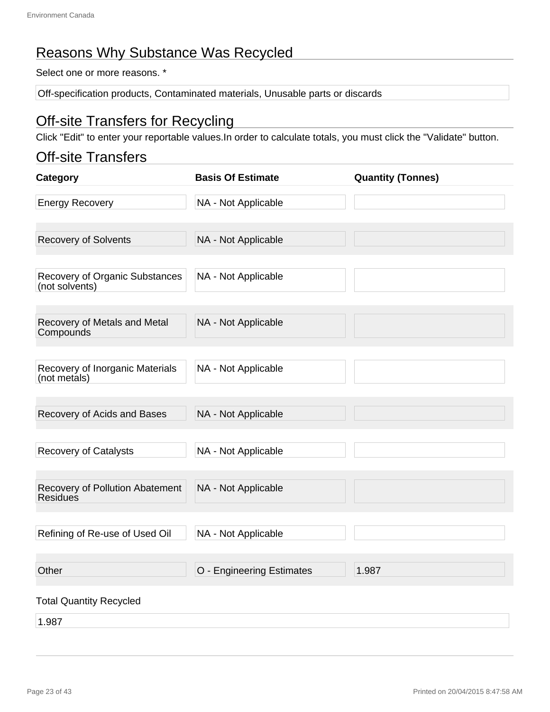### Reasons Why Substance Was Recycled

Select one or more reasons. \*

Off-specification products, Contaminated materials, Unusable parts or discards

#### Off-site Transfers for Recycling

Click "Edit" to enter your reportable values.In order to calculate totals, you must click the "Validate" button.

#### Off-site Transfers

| Category                                           | <b>Basis Of Estimate</b>  | <b>Quantity (Tonnes)</b> |
|----------------------------------------------------|---------------------------|--------------------------|
| <b>Energy Recovery</b>                             | NA - Not Applicable       |                          |
| <b>Recovery of Solvents</b>                        | NA - Not Applicable       |                          |
| Recovery of Organic Substances<br>(not solvents)   | NA - Not Applicable       |                          |
| Recovery of Metals and Metal<br>Compounds          | NA - Not Applicable       |                          |
| Recovery of Inorganic Materials<br>(not metals)    | NA - Not Applicable       |                          |
| Recovery of Acids and Bases                        | NA - Not Applicable       |                          |
| <b>Recovery of Catalysts</b>                       | NA - Not Applicable       |                          |
| Recovery of Pollution Abatement<br><b>Residues</b> | NA - Not Applicable       |                          |
| Refining of Re-use of Used Oil                     | NA - Not Applicable       |                          |
| Other                                              | O - Engineering Estimates | 1.987                    |
| <b>Total Quantity Recycled</b>                     |                           |                          |
| 1.987                                              |                           |                          |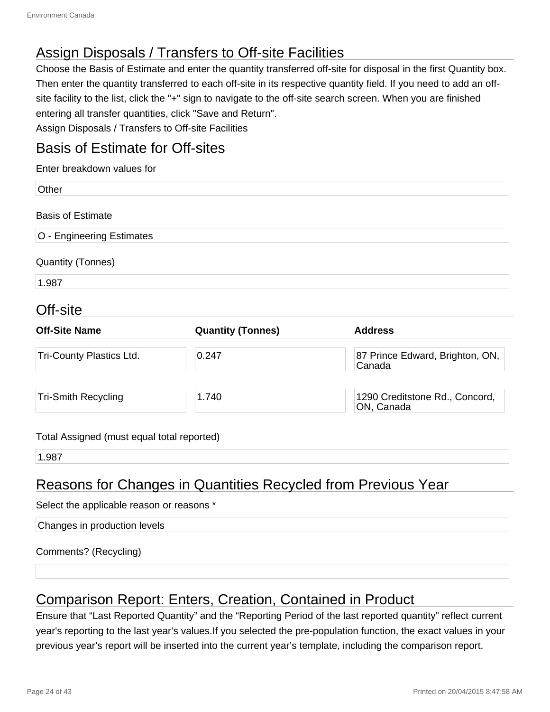### Assign Disposals / Transfers to Off-site Facilities

Choose the Basis of Estimate and enter the quantity transferred off-site for disposal in the first Quantity box. Then enter the quantity transferred to each off-site in its respective quantity field. If you need to add an offsite facility to the list, click the "+" sign to navigate to the off-site search screen. When you are finished entering all transfer quantities, click "Save and Return".

Assign Disposals / Transfers to Off-site Facilities

#### Basis of Estimate for Off-sites

| Enter breakdown values for |  |
|----------------------------|--|
| Other                      |  |
| <b>Basis of Estimate</b>   |  |
| O - Engineering Estimates  |  |
| <b>Quantity (Tonnes)</b>   |  |
| 1.987                      |  |
| ---                        |  |

#### Off-site

| <b>Off-Site Name</b>            | <b>Quantity (Tonnes)</b> | <b>Address</b>                               |
|---------------------------------|--------------------------|----------------------------------------------|
| <b>Tri-County Plastics Ltd.</b> | 0.247                    | 87 Prince Edward, Brighton, ON,<br>Canada    |
| <b>Tri-Smith Recycling</b>      | 1.740                    | 1290 Creditstone Rd., Concord,<br>ON, Canada |

#### Total Assigned (must equal total reported)

1.987

### Reasons for Changes in Quantities Recycled from Previous Year

#### Select the applicable reason or reasons \*

| Changes in production levels |  |
|------------------------------|--|
|                              |  |

Comments? (Recycling)

### Comparison Report: Enters, Creation, Contained in Product

Ensure that "Last Reported Quantity" and the "Reporting Period of the last reported quantity" reflect current year's reporting to the last year's values.If you selected the pre-population function, the exact values in your previous year's report will be inserted into the current year's template, including the comparison report.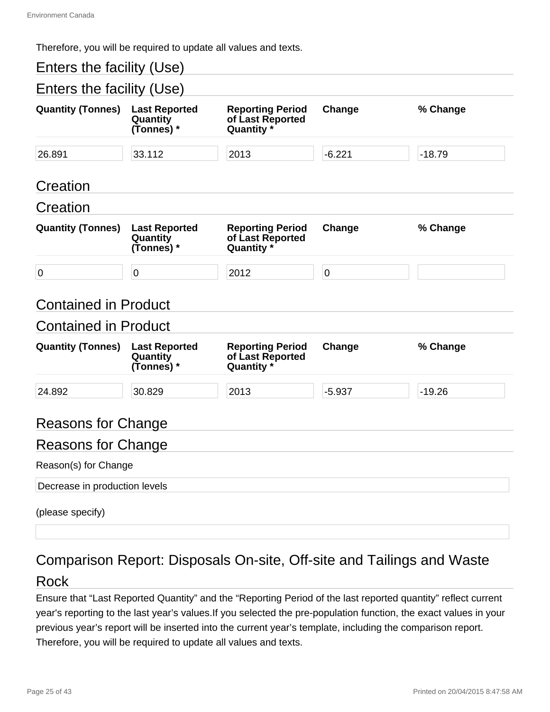Therefore, you will be required to update all values and texts.

| Enters the facility (Use)     |                                                |                                                           |                |          |  |
|-------------------------------|------------------------------------------------|-----------------------------------------------------------|----------------|----------|--|
| Enters the facility (Use)     |                                                |                                                           |                |          |  |
| <b>Quantity (Tonnes)</b>      | <b>Last Reported</b><br>Quantity<br>(Tonnes) * | <b>Reporting Period</b><br>of Last Reported<br>Quantity * | Change         | % Change |  |
| 26.891                        | 33.112                                         | 2013                                                      | $-6.221$       | $-18.79$ |  |
| Creation                      |                                                |                                                           |                |          |  |
| Creation                      |                                                |                                                           |                |          |  |
| <b>Quantity (Tonnes)</b>      | <b>Last Reported</b><br>Quantity<br>(Tonnes) * | <b>Reporting Period</b><br>of Last Reported<br>Quantity * | Change         | % Change |  |
| $\overline{0}$                | $\mathbf 0$                                    | 2012                                                      | $\overline{0}$ |          |  |
| <b>Contained in Product</b>   |                                                |                                                           |                |          |  |
| <b>Contained in Product</b>   |                                                |                                                           |                |          |  |
| <b>Quantity (Tonnes)</b>      | <b>Last Reported</b><br>Quantity<br>(Tonnes) * | <b>Reporting Period</b><br>of Last Reported<br>Quantity * | Change         | % Change |  |
| 24.892                        | 30.829                                         | 2013                                                      | $-5.937$       | $-19.26$ |  |
| <b>Reasons for Change</b>     |                                                |                                                           |                |          |  |
| <b>Reasons for Change</b>     |                                                |                                                           |                |          |  |
| Reason(s) for Change          |                                                |                                                           |                |          |  |
| Decrease in production levels |                                                |                                                           |                |          |  |
| (please specify)              |                                                |                                                           |                |          |  |

## Comparison Report: Disposals On-site, Off-site and Tailings and Waste

#### Rock

Ensure that "Last Reported Quantity" and the "Reporting Period of the last reported quantity" reflect current year's reporting to the last year's values.If you selected the pre-population function, the exact values in your previous year's report will be inserted into the current year's template, including the comparison report. Therefore, you will be required to update all values and texts.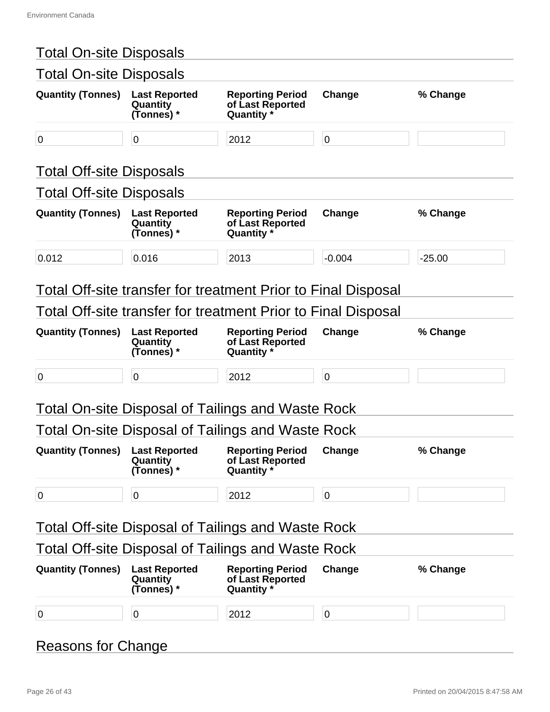| <b>Total On-site Disposals</b>                 |                                                           |                                                   |                                                                                                                                                                  |
|------------------------------------------------|-----------------------------------------------------------|---------------------------------------------------|------------------------------------------------------------------------------------------------------------------------------------------------------------------|
| <b>Last Reported</b><br>Quantity<br>(Tonnes) * | <b>Reporting Period</b><br>of Last Reported<br>Quantity * | Change                                            | % Change                                                                                                                                                         |
| 0                                              | 2012                                                      | $\pmb{0}$                                         |                                                                                                                                                                  |
|                                                |                                                           |                                                   |                                                                                                                                                                  |
| <b>Total Off-site Disposals</b>                |                                                           |                                                   |                                                                                                                                                                  |
| <b>Last Reported</b><br>Quantity<br>(Tonnes) * | <b>Reporting Period</b><br>of Last Reported<br>Quantity * | Change                                            | % Change                                                                                                                                                         |
| 0.016                                          | 2013                                                      | $-0.004$                                          | $-25.00$                                                                                                                                                         |
|                                                |                                                           |                                                   |                                                                                                                                                                  |
| <b>Last Reported</b><br>Quantity<br>(Tonnes) * | <b>Reporting Period</b><br>of Last Reported<br>Quantity * | Change                                            | % Change                                                                                                                                                         |
| $\mathbf 0$                                    | 2012                                                      | $\pmb{0}$                                         |                                                                                                                                                                  |
|                                                |                                                           |                                                   |                                                                                                                                                                  |
|                                                |                                                           |                                                   |                                                                                                                                                                  |
|                                                | Total On-site Disposal of Tailings and Waste Rock         |                                                   |                                                                                                                                                                  |
| <b>Last Reported</b><br>Quantity<br>(Tonnes) * | <b>Reporting Period</b><br>of Last Reported<br>Quantity * | Change                                            | % Change                                                                                                                                                         |
| 0                                              | 2012                                                      | $\pmb{0}$                                         |                                                                                                                                                                  |
|                                                | <b>Total Off-site Disposal of Tailings and Waste Rock</b> |                                                   |                                                                                                                                                                  |
|                                                | <b>Total Off-site Disposal of Tailings and Waste Rock</b> |                                                   |                                                                                                                                                                  |
| <b>Last Reported</b><br>Quantity<br>(Tonnes) * | <b>Reporting Period</b><br>of Last Reported<br>Quantity * | Change                                            | % Change                                                                                                                                                         |
|                                                | <b>Total Off-site Disposals</b>                           | Total On-site Disposal of Tailings and Waste Rock | <b>Total On-site Disposals</b><br>Total Off-site transfer for treatment Prior to Final Disposal<br>Total Off-site transfer for treatment Prior to Final Disposal |

## Reasons for Change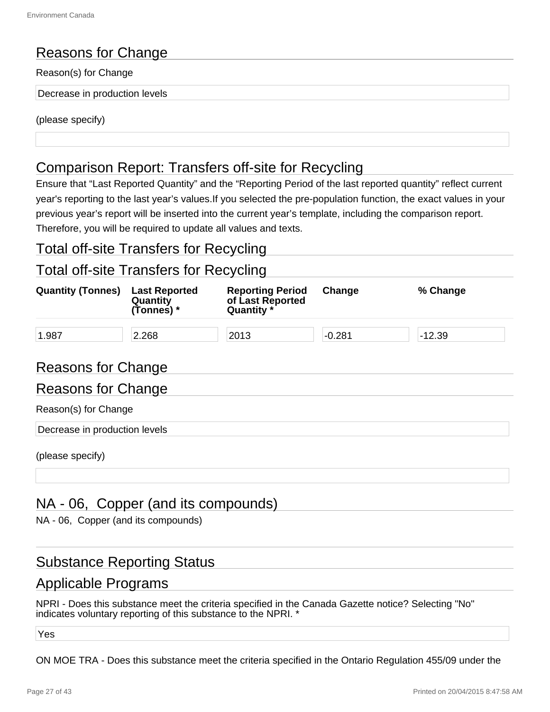### Reasons for Change

#### Reason(s) for Change

Decrease in production levels

(please specify)

### Comparison Report: Transfers off-site for Recycling

Ensure that "Last Reported Quantity" and the "Reporting Period of the last reported quantity" reflect current year's reporting to the last year's values.If you selected the pre-population function, the exact values in your previous year's report will be inserted into the current year's template, including the comparison report. Therefore, you will be required to update all values and texts.

#### Total off-site Transfers for Recycling

#### Total off-site Transfers for Recycling

| <b>Quantity (Tonnes)</b> | <b>Last Reported</b><br>Quantity<br>(Tonnes) * | <b>Reporting Period</b><br>of Last Reported<br>Quantity * | Change   | % Change |  |
|--------------------------|------------------------------------------------|-----------------------------------------------------------|----------|----------|--|
| 1.987                    | 2.268                                          | 2013                                                      | $-0.281$ | $-12.39$ |  |

#### Reasons for Change

## Reasons for Change Reason(s) for Change Decrease in production levels

(please specify)

#### NA - 06, Copper (and its compounds)

NA - 06, Copper (and its compounds)

#### Substance Reporting Status

#### Applicable Programs

NPRI - Does this substance meet the criteria specified in the Canada Gazette notice? Selecting "No" indicates voluntary reporting of this substance to the NPRI. \*

Yes

ON MOE TRA - Does this substance meet the criteria specified in the Ontario Regulation 455/09 under the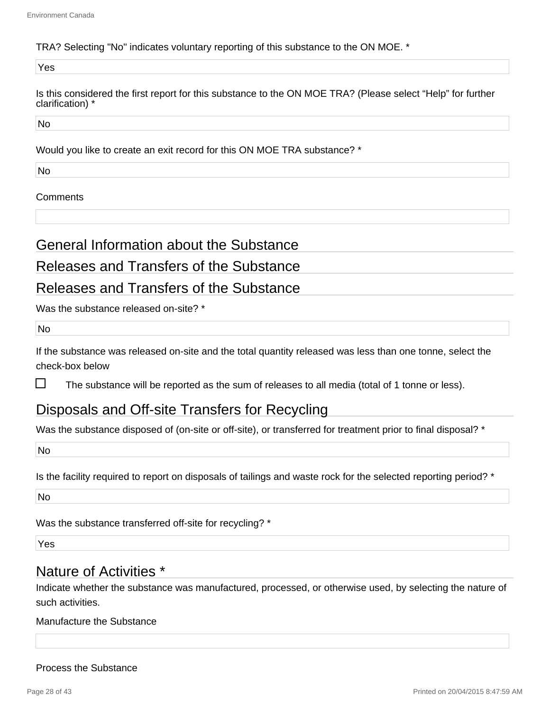#### TRA? Selecting "No" indicates voluntary reporting of this substance to the ON MOE. \*

Yes

Is this considered the first report for this substance to the ON MOE TRA? (Please select "Help" for further clarification) \*

No

Would you like to create an exit record for this ON MOE TRA substance? \*

No

#### **Comments**

General Information about the Substance

#### Releases and Transfers of the Substance

#### Releases and Transfers of the Substance

Was the substance released on-site? \*

No

If the substance was released on-site and the total quantity released was less than one tonne, select the check-box below

П The substance will be reported as the sum of releases to all media (total of 1 tonne or less).

#### Disposals and Off-site Transfers for Recycling

Was the substance disposed of (on-site or off-site), or transferred for treatment prior to final disposal? \*

No

Is the facility required to report on disposals of tailings and waste rock for the selected reporting period? \*

No

Was the substance transferred off-site for recycling? \*

Yes

#### Nature of Activities \*

Indicate whether the substance was manufactured, processed, or otherwise used, by selecting the nature of such activities.

#### Manufacture the Substance

#### Process the Substance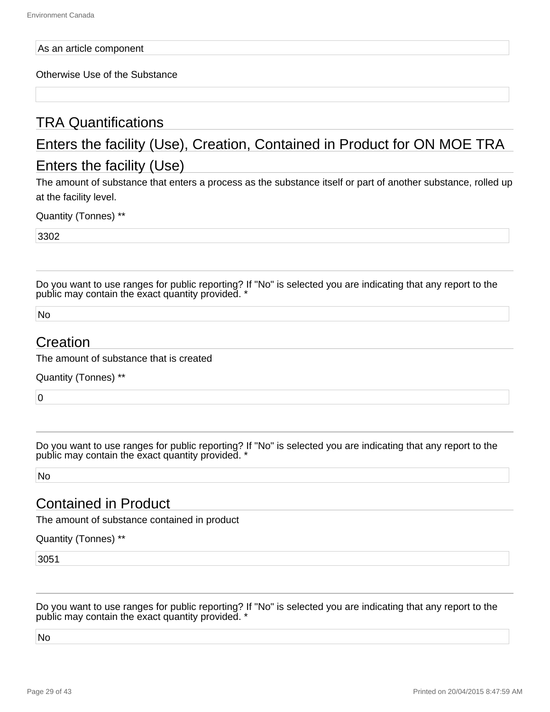#### As an article component

Otherwise Use of the Substance

### TRA Quantifications

## Enters the facility (Use), Creation, Contained in Product for ON MOE TRA Enters the facility (Use)

The amount of substance that enters a process as the substance itself or part of another substance, rolled up at the facility level.

Quantity (Tonnes) \*\*

3302

Do you want to use ranges for public reporting? If "No" is selected you are indicating that any report to the public may contain the exact quantity provided. \*

No

#### Creation

The amount of substance that is created

Quantity (Tonnes) \*\*

 $\overline{0}$ 

Do you want to use ranges for public reporting? If "No" is selected you are indicating that any report to the public may contain the exact quantity provided. \*

No

#### Contained in Product

The amount of substance contained in product

Quantity (Tonnes) \*\*

3051

Do you want to use ranges for public reporting? If "No" is selected you are indicating that any report to the public may contain the exact quantity provided. \*

No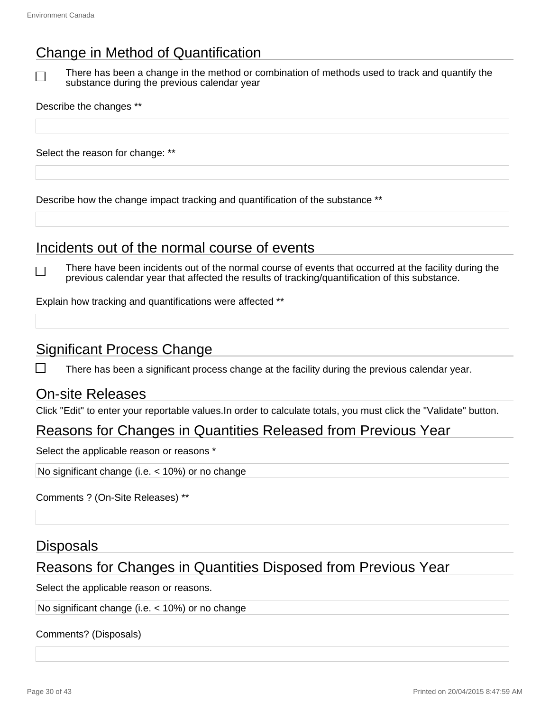## Change in Method of Quantification

 $\Box$ 

There has been a change in the method or combination of methods used to track and quantify the substance during the previous calendar year

Describe the changes \*\*

Select the reason for change: \*\*

Describe how the change impact tracking and quantification of the substance \*\*

#### Incidents out of the normal course of events

There have been incidents out of the normal course of events that occurred at the facility during the previous calendar year that affected the results of tracking/quantification of this substance.

Explain how tracking and quantifications were affected \*\*

#### Significant Process Change

There has been a significant process change at the facility during the previous calendar year.

#### On-site Releases

Click "Edit" to enter your reportable values.In order to calculate totals, you must click the "Validate" button.

#### Reasons for Changes in Quantities Released from Previous Year

Select the applicable reason or reasons \*

No significant change (i.e. < 10%) or no change

Comments ? (On-Site Releases) \*\*

#### **Disposals**

#### Reasons for Changes in Quantities Disposed from Previous Year

Select the applicable reason or reasons.

No significant change (i.e. < 10%) or no change

Comments? (Disposals)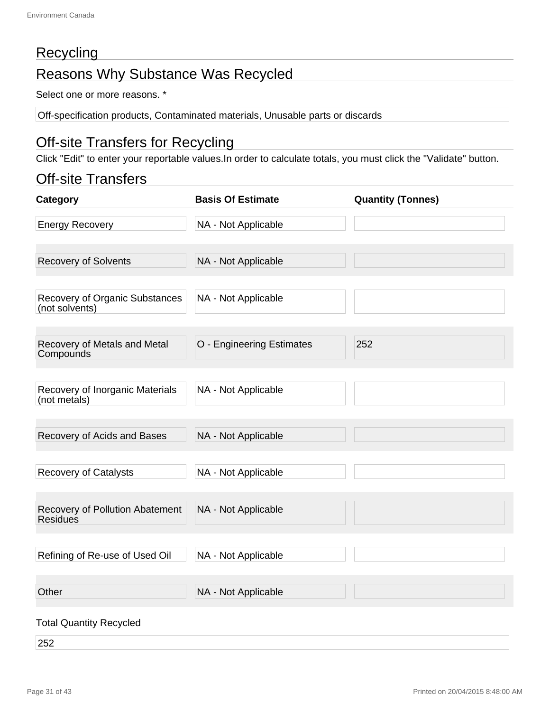### **Recycling**

## Reasons Why Substance Was Recycled

Select one or more reasons. \*

Off-specification products, Contaminated materials, Unusable parts or discards

### Off-site Transfers for Recycling

Click "Edit" to enter your reportable values.In order to calculate totals, you must click the "Validate" button.

#### Off-site Transfers

| Category                                         | <b>Basis Of Estimate</b>  | <b>Quantity (Tonnes)</b> |
|--------------------------------------------------|---------------------------|--------------------------|
| <b>Energy Recovery</b>                           | NA - Not Applicable       |                          |
| <b>Recovery of Solvents</b>                      | NA - Not Applicable       |                          |
| Recovery of Organic Substances<br>(not solvents) | NA - Not Applicable       |                          |
| Recovery of Metals and Metal<br>Compounds        | O - Engineering Estimates | 252                      |
| Recovery of Inorganic Materials<br>(not metals)  | NA - Not Applicable       |                          |
| Recovery of Acids and Bases                      | NA - Not Applicable       |                          |
| <b>Recovery of Catalysts</b>                     | NA - Not Applicable       |                          |
| Recovery of Pollution Abatement<br>Residues      | NA - Not Applicable       |                          |
| Refining of Re-use of Used Oil                   | NA - Not Applicable       |                          |
| Other                                            | NA - Not Applicable       |                          |
| <b>Total Quantity Recycled</b>                   |                           |                          |

252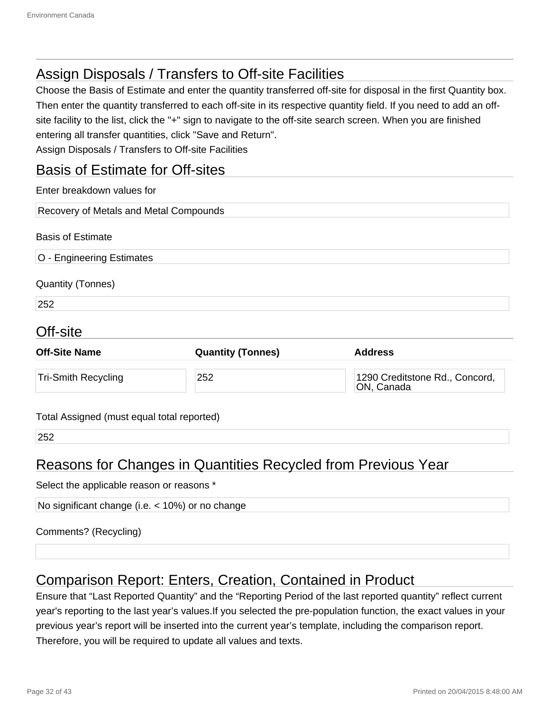### Assign Disposals / Transfers to Off-site Facilities

Choose the Basis of Estimate and enter the quantity transferred off-site for disposal in the first Quantity box. Then enter the quantity transferred to each off-site in its respective quantity field. If you need to add an offsite facility to the list, click the "+" sign to navigate to the off-site search screen. When you are finished entering all transfer quantities, click "Save and Return". Assign Disposals / Transfers to Off-site Facilities

#### Basis of Estimate for Off-sites

| Enter breakdown values for                 |                          |                                              |  |  |
|--------------------------------------------|--------------------------|----------------------------------------------|--|--|
| Recovery of Metals and Metal Compounds     |                          |                                              |  |  |
| <b>Basis of Estimate</b>                   |                          |                                              |  |  |
| O - Engineering Estimates                  |                          |                                              |  |  |
| <b>Quantity (Tonnes)</b>                   |                          |                                              |  |  |
| 252                                        |                          |                                              |  |  |
| Off-site                                   |                          |                                              |  |  |
| <b>Off-Site Name</b>                       | <b>Quantity (Tonnes)</b> | <b>Address</b>                               |  |  |
| <b>Tri-Smith Recycling</b>                 | 252                      | 1290 Creditstone Rd., Concord,<br>ON, Canada |  |  |
| Total Assigned (must equal total reported) |                          |                                              |  |  |

252

### Reasons for Changes in Quantities Recycled from Previous Year

Select the applicable reason or reasons \*

No significant change (i.e. < 10%) or no change

Comments? (Recycling)

### Comparison Report: Enters, Creation, Contained in Product

Ensure that "Last Reported Quantity" and the "Reporting Period of the last reported quantity" reflect current year's reporting to the last year's values.If you selected the pre-population function, the exact values in your previous year's report will be inserted into the current year's template, including the comparison report. Therefore, you will be required to update all values and texts.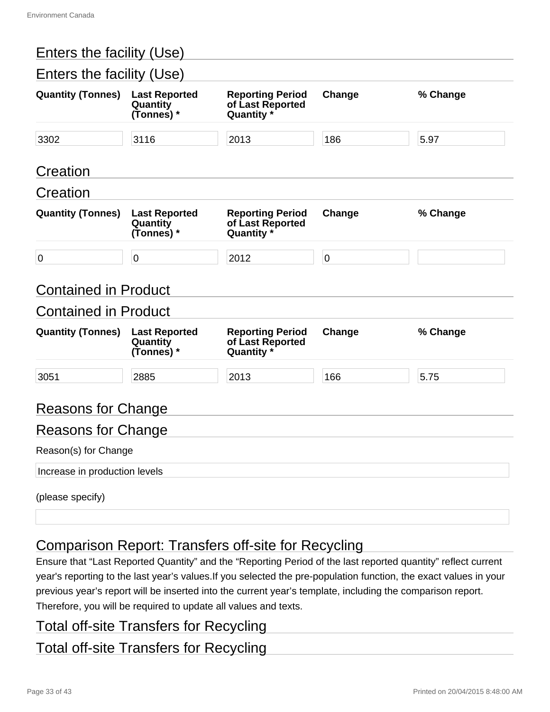| Enters the facility (Use)     |                                                |                                                           |           |          |
|-------------------------------|------------------------------------------------|-----------------------------------------------------------|-----------|----------|
| Enters the facility (Use)     |                                                |                                                           |           |          |
| <b>Quantity (Tonnes)</b>      | <b>Last Reported</b><br>Quantity<br>(Tonnes) * | <b>Reporting Period</b><br>of Last Reported<br>Quantity * | Change    | % Change |
| 3302                          | 3116                                           | 2013                                                      | 186       | 5.97     |
| Creation                      |                                                |                                                           |           |          |
| Creation                      |                                                |                                                           |           |          |
| <b>Quantity (Tonnes)</b>      | <b>Last Reported</b><br>Quantity<br>(Tonnes) * | <b>Reporting Period</b><br>of Last Reported<br>Quantity * | Change    | % Change |
| $\pmb{0}$                     | $\mathbf 0$                                    | 2012                                                      | $\pmb{0}$ |          |
| <b>Contained in Product</b>   |                                                |                                                           |           |          |
| <b>Contained in Product</b>   |                                                |                                                           |           |          |
| <b>Quantity (Tonnes)</b>      | <b>Last Reported</b><br>Quantity<br>(Tonnes) * | <b>Reporting Period</b><br>of Last Reported<br>Quantity * | Change    | % Change |
| 3051                          | 2885                                           | 2013                                                      | 166       | 5.75     |
| <b>Reasons for Change</b>     |                                                |                                                           |           |          |
| <b>Reasons for Change</b>     |                                                |                                                           |           |          |
| Reason(s) for Change          |                                                |                                                           |           |          |
| Increase in production levels |                                                |                                                           |           |          |
| (please specify)              |                                                |                                                           |           |          |

## Comparison Report: Transfers off-site for Recycling

Ensure that "Last Reported Quantity" and the "Reporting Period of the last reported quantity" reflect current year's reporting to the last year's values.If you selected the pre-population function, the exact values in your previous year's report will be inserted into the current year's template, including the comparison report. Therefore, you will be required to update all values and texts.

### Total off-site Transfers for Recycling

### Total off-site Transfers for Recycling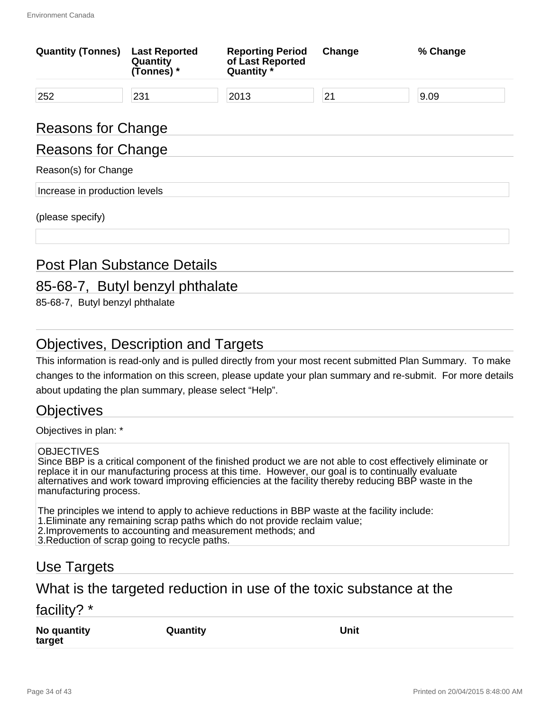| <b>Quantity (Tonnes)</b>           | <b>Last Reported</b><br>Quantity<br>(Tonnes) * | <b>Reporting Period</b><br>of Last Reported<br>Quantity * | Change | % Change |  |
|------------------------------------|------------------------------------------------|-----------------------------------------------------------|--------|----------|--|
| 252                                | 231                                            | 2013                                                      | 21     | 9.09     |  |
| Reasons for Change                 |                                                |                                                           |        |          |  |
| <b>Reasons for Change</b>          |                                                |                                                           |        |          |  |
| Reason(s) for Change               |                                                |                                                           |        |          |  |
| Increase in production levels      |                                                |                                                           |        |          |  |
| (please specify)                   |                                                |                                                           |        |          |  |
| <b>Post Plan Substance Details</b> |                                                |                                                           |        |          |  |

## 85-68-7, Butyl benzyl phthalate

85-68-7, Butyl benzyl phthalate

### Objectives, Description and Targets

This information is read-only and is pulled directly from your most recent submitted Plan Summary. To make changes to the information on this screen, please update your plan summary and re-submit. For more details about updating the plan summary, please select "Help".

#### **Objectives**

Objectives in plan: \*

#### **OBJECTIVES**

Since BBP is a critical component of the finished product we are not able to cost effectively eliminate or replace it in our manufacturing process at this time. However, our goal is to continually evaluate alternatives and work toward improving efficiencies at the facility thereby reducing BBP waste in the manufacturing process.

The principles we intend to apply to achieve reductions in BBP waste at the facility include: 1.Eliminate any remaining scrap paths which do not provide reclaim value; 2.Improvements to accounting and measurement methods; and 3.Reduction of scrap going to recycle paths.

#### Use Targets

#### What is the targeted reduction in use of the toxic substance at the

#### facility? \*

**No quantity target**

**Quantity Unit**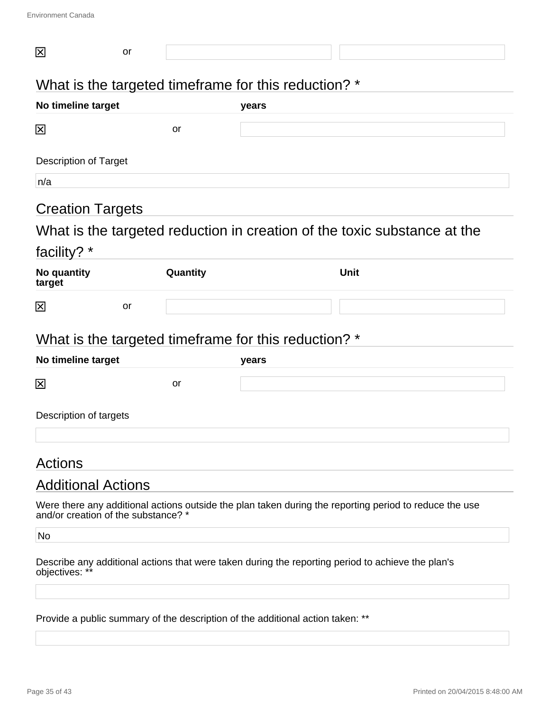| 区                                   | or |          |                                                                                |                                                                                                        |
|-------------------------------------|----|----------|--------------------------------------------------------------------------------|--------------------------------------------------------------------------------------------------------|
|                                     |    |          | What is the targeted timeframe for this reduction? *                           |                                                                                                        |
| No timeline target                  |    |          | years                                                                          |                                                                                                        |
| 龱                                   |    | or       |                                                                                |                                                                                                        |
| <b>Description of Target</b>        |    |          |                                                                                |                                                                                                        |
| n/a                                 |    |          |                                                                                |                                                                                                        |
| <b>Creation Targets</b>             |    |          |                                                                                |                                                                                                        |
|                                     |    |          |                                                                                | What is the targeted reduction in creation of the toxic substance at the                               |
| facility? *                         |    |          |                                                                                |                                                                                                        |
| No quantity<br>target               |    | Quantity |                                                                                | <b>Unit</b>                                                                                            |
| 区                                   | or |          |                                                                                |                                                                                                        |
|                                     |    |          | What is the targeted timeframe for this reduction? *                           |                                                                                                        |
| No timeline target                  |    |          | years                                                                          |                                                                                                        |
| 図                                   |    | or       |                                                                                |                                                                                                        |
| Description of targets              |    |          |                                                                                |                                                                                                        |
| Actions                             |    |          |                                                                                |                                                                                                        |
| <b>Additional Actions</b>           |    |          |                                                                                |                                                                                                        |
| and/or creation of the substance? * |    |          |                                                                                | Were there any additional actions outside the plan taken during the reporting period to reduce the use |
| No                                  |    |          |                                                                                |                                                                                                        |
| objectives: **                      |    |          |                                                                                | Describe any additional actions that were taken during the reporting period to achieve the plan's      |
|                                     |    |          | Provide a public summary of the description of the additional action taken: ** |                                                                                                        |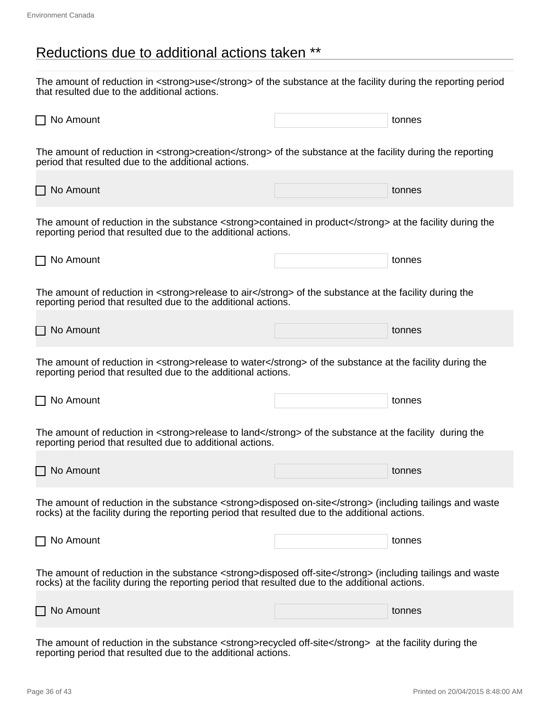### Reductions due to additional actions taken \*\*

The amount of reduction in <strong>use</strong> of the substance at the facility during the reporting period that resulted due to the additional actions.

| $\Box$ No Amount                                                                                                                                                                                             | tonnes |
|--------------------------------------------------------------------------------------------------------------------------------------------------------------------------------------------------------------|--------|
| The amount of reduction in <strong>creation</strong> of the substance at the facility during the reporting<br>period that resulted due to the additional actions.                                            |        |
| $\Box$ No Amount                                                                                                                                                                                             | tonnes |
| The amount of reduction in the substance <strong>contained in product</strong> at the facility during the<br>reporting period that resulted due to the additional actions.                                   |        |
| $\Box$ No Amount                                                                                                                                                                                             | tonnes |
| The amount of reduction in <strong>release to air</strong> of the substance at the facility during the<br>reporting period that resulted due to the additional actions.                                      |        |
| $\Box$ No Amount                                                                                                                                                                                             | tonnes |
| The amount of reduction in <strong>release to water</strong> of the substance at the facility during the<br>reporting period that resulted due to the additional actions.                                    |        |
| $\Box$ No Amount                                                                                                                                                                                             | tonnes |
| The amount of reduction in <strong>release to land</strong> of the substance at the facility during the<br>reporting period that resulted due to additional actions.                                         |        |
| $\Box$ No Amount                                                                                                                                                                                             | tonnes |
| The amount of reduction in the substance <strong>disposed on-site</strong> (including tailings and waste<br>rocks) at the facility during the reporting period that resulted due to the additional actions.  |        |
| $\Box$ No Amount                                                                                                                                                                                             | tonnes |
| The amount of reduction in the substance <strong>disposed off-site</strong> (including tailings and waste<br>rocks) at the facility during the reporting period that resulted due to the additional actions. |        |
| $\Box$ No Amount                                                                                                                                                                                             | tonnes |
| buhatanga atrangsarangalad                                                                                                                                                                                   |        |

The amount of reduction in the substance <strong>recycled off-site</strong> at the facility during the reporting period that resulted due to the additional actions.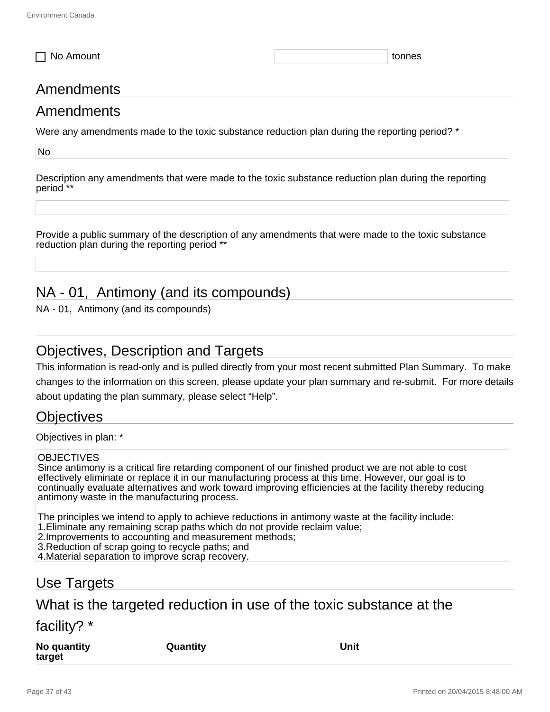□ No Amount tonnes to the control of the control of the control of the control of the control of the control of the control of the control of the control of the control of the control of the control of the control of the

### Amendments

#### Amendments

Were any amendments made to the toxic substance reduction plan during the reporting period? \*

No

Description any amendments that were made to the toxic substance reduction plan during the reporting period \*\*

Provide a public summary of the description of any amendments that were made to the toxic substance reduction plan during the reporting period \*\*

### NA - 01, Antimony (and its compounds)

NA - 01, Antimony (and its compounds)

#### Objectives, Description and Targets

This information is read-only and is pulled directly from your most recent submitted Plan Summary. To make changes to the information on this screen, please update your plan summary and re-submit. For more details about updating the plan summary, please select "Help".

#### **Objectives**

Objectives in plan: \*

#### **OBJECTIVES**

Since antimony is a critical fire retarding component of our finished product we are not able to cost effectively eliminate or replace it in our manufacturing process at this time. However, our goal is to continually evaluate alternatives and work toward improving efficiencies at the facility thereby reducing antimony waste in the manufacturing process.

The principles we intend to apply to achieve reductions in antimony waste at the facility include:

- 1.Eliminate any remaining scrap paths which do not provide reclaim value;
- 2.Improvements to accounting and measurement methods;

3.Reduction of scrap going to recycle paths; and

4.Material separation to improve scrap recovery.

#### Use Targets

#### What is the targeted reduction in use of the toxic substance at the

#### facility? \*

**No quantity target**

**Quantity Unit**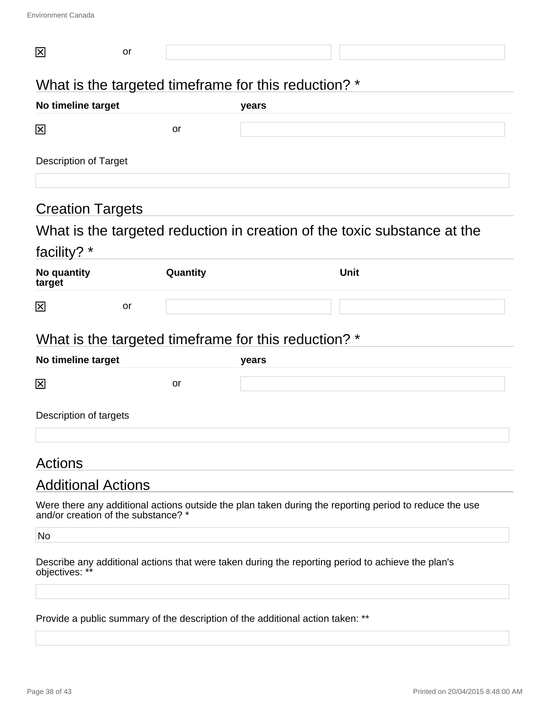| 区                                   | or |          |                                                                                |                                                                                                        |
|-------------------------------------|----|----------|--------------------------------------------------------------------------------|--------------------------------------------------------------------------------------------------------|
|                                     |    |          | What is the targeted timeframe for this reduction? *                           |                                                                                                        |
| No timeline target                  |    |          | years                                                                          |                                                                                                        |
| 区                                   |    | or       |                                                                                |                                                                                                        |
| <b>Description of Target</b>        |    |          |                                                                                |                                                                                                        |
| <b>Creation Targets</b>             |    |          |                                                                                |                                                                                                        |
|                                     |    |          |                                                                                | What is the targeted reduction in creation of the toxic substance at the                               |
| facility? *                         |    |          |                                                                                |                                                                                                        |
| No quantity<br>target               |    | Quantity |                                                                                | <b>Unit</b>                                                                                            |
| 区                                   | or |          |                                                                                |                                                                                                        |
|                                     |    |          | What is the targeted timeframe for this reduction? *                           |                                                                                                        |
| No timeline target                  |    |          | years                                                                          |                                                                                                        |
| 区                                   |    | or       |                                                                                |                                                                                                        |
| Description of targets              |    |          |                                                                                |                                                                                                        |
| Actions                             |    |          |                                                                                |                                                                                                        |
| <b>Additional Actions</b>           |    |          |                                                                                |                                                                                                        |
| and/or creation of the substance? * |    |          |                                                                                | Were there any additional actions outside the plan taken during the reporting period to reduce the use |
| No                                  |    |          |                                                                                |                                                                                                        |
| objectives: **                      |    |          |                                                                                | Describe any additional actions that were taken during the reporting period to achieve the plan's      |
|                                     |    |          | Provide a public summary of the description of the additional action taken: ** |                                                                                                        |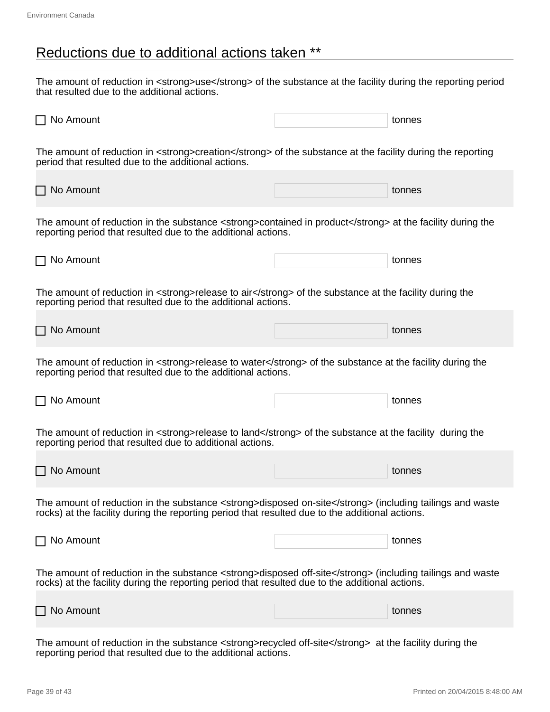### Reductions due to additional actions taken \*\*

The amount of reduction in <strong>use</strong> of the substance at the facility during the reporting period that resulted due to the additional actions.

| $\Box$ No Amount                                                                                                                                                                                             | tonnes |
|--------------------------------------------------------------------------------------------------------------------------------------------------------------------------------------------------------------|--------|
| The amount of reduction in <strong>creation</strong> of the substance at the facility during the reporting<br>period that resulted due to the additional actions.                                            |        |
| $\Box$ No Amount                                                                                                                                                                                             | tonnes |
| The amount of reduction in the substance <strong>contained in product</strong> at the facility during the<br>reporting period that resulted due to the additional actions.                                   |        |
| $\Box$ No Amount                                                                                                                                                                                             | tonnes |
| The amount of reduction in <strong>release to air</strong> of the substance at the facility during the<br>reporting period that resulted due to the additional actions.                                      |        |
| $\Box$ No Amount                                                                                                                                                                                             | tonnes |
| The amount of reduction in <strong>release to water</strong> of the substance at the facility during the<br>reporting period that resulted due to the additional actions.                                    |        |
| $\Box$ No Amount                                                                                                                                                                                             | tonnes |
| The amount of reduction in <strong>release to land</strong> of the substance at the facility during the<br>reporting period that resulted due to additional actions.                                         |        |
| $\Box$ No Amount                                                                                                                                                                                             | tonnes |
| The amount of reduction in the substance <strong>disposed on-site</strong> (including tailings and waste<br>rocks) at the facility during the reporting period that resulted due to the additional actions.  |        |
| $\Box$ No Amount                                                                                                                                                                                             | tonnes |
| The amount of reduction in the substance <strong>disposed off-site</strong> (including tailings and waste<br>rocks) at the facility during the reporting period that resulted due to the additional actions. |        |
| $\Box$ No Amount                                                                                                                                                                                             | tonnes |
| buhatanga atrangsarangalad                                                                                                                                                                                   |        |

The amount of reduction in the substance <strong>recycled off-site</strong> at the facility during the reporting period that resulted due to the additional actions.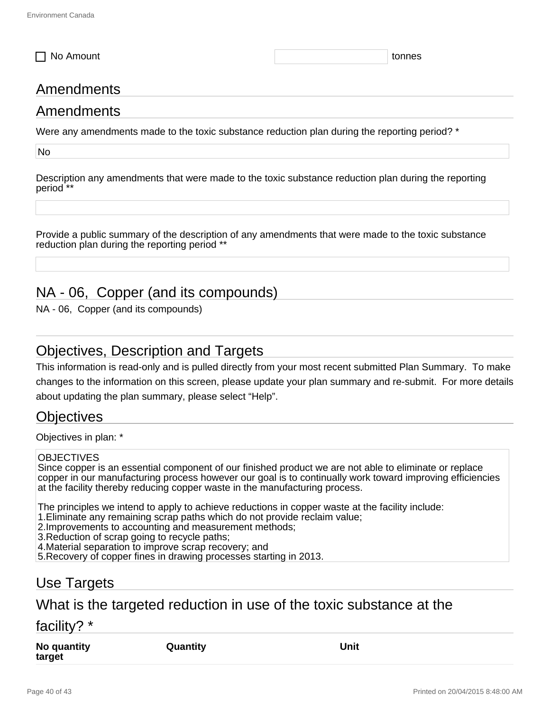□ No Amount tonnes to the control of the control of the control of the control of the control of the control of the control of the control of the control of the control of the control of the control of the control of the

### Amendments

#### Amendments

Were any amendments made to the toxic substance reduction plan during the reporting period? \*

No

Description any amendments that were made to the toxic substance reduction plan during the reporting period \*\*

Provide a public summary of the description of any amendments that were made to the toxic substance reduction plan during the reporting period \*\*

### NA - 06, Copper (and its compounds)

NA - 06, Copper (and its compounds)

#### Objectives, Description and Targets

This information is read-only and is pulled directly from your most recent submitted Plan Summary. To make changes to the information on this screen, please update your plan summary and re-submit. For more details about updating the plan summary, please select "Help".

#### Objectives

Objectives in plan: \*

#### **OBJECTIVES**

Since copper is an essential component of our finished product we are not able to eliminate or replace copper in our manufacturing process however our goal is to continually work toward improving efficiencies at the facility thereby reducing copper waste in the manufacturing process.

The principles we intend to apply to achieve reductions in copper waste at the facility include:

- 1.Eliminate any remaining scrap paths which do not provide reclaim value;
- 2.Improvements to accounting and measurement methods;

3.Reduction of scrap going to recycle paths;

4.Material separation to improve scrap recovery; and

5.Recovery of copper fines in drawing processes starting in 2013.

#### Use Targets

#### What is the targeted reduction in use of the toxic substance at the

#### facility? \*

**No quantity target**

**Quantity Unit**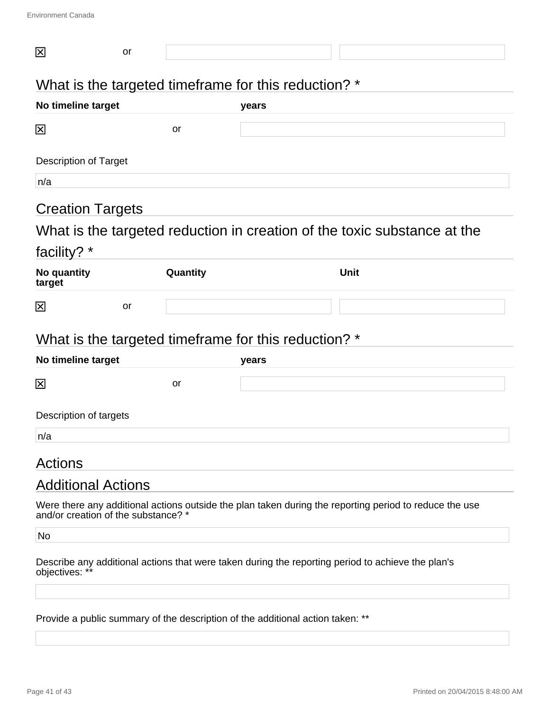| 区                                   | or |          |                                                                                |                                                                                                        |
|-------------------------------------|----|----------|--------------------------------------------------------------------------------|--------------------------------------------------------------------------------------------------------|
|                                     |    |          | What is the targeted timeframe for this reduction? *                           |                                                                                                        |
| No timeline target                  |    |          | years                                                                          |                                                                                                        |
| 区                                   |    | or       |                                                                                |                                                                                                        |
| <b>Description of Target</b>        |    |          |                                                                                |                                                                                                        |
| n/a                                 |    |          |                                                                                |                                                                                                        |
| <b>Creation Targets</b>             |    |          |                                                                                |                                                                                                        |
|                                     |    |          |                                                                                | What is the targeted reduction in creation of the toxic substance at the                               |
| facility? *                         |    |          |                                                                                |                                                                                                        |
| No quantity<br>target               |    | Quantity |                                                                                | <b>Unit</b>                                                                                            |
| $\boxtimes$                         | or |          |                                                                                |                                                                                                        |
|                                     |    |          | What is the targeted timeframe for this reduction? *                           |                                                                                                        |
| No timeline target                  |    |          | years                                                                          |                                                                                                        |
| 区                                   |    | or       |                                                                                |                                                                                                        |
| Description of targets              |    |          |                                                                                |                                                                                                        |
| n/a                                 |    |          |                                                                                |                                                                                                        |
| <b>Actions</b>                      |    |          |                                                                                |                                                                                                        |
| <b>Additional Actions</b>           |    |          |                                                                                |                                                                                                        |
| and/or creation of the substance? * |    |          |                                                                                | Were there any additional actions outside the plan taken during the reporting period to reduce the use |
| No                                  |    |          |                                                                                |                                                                                                        |
| objectives: **                      |    |          |                                                                                | Describe any additional actions that were taken during the reporting period to achieve the plan's      |
|                                     |    |          | Provide a public summary of the description of the additional action taken: ** |                                                                                                        |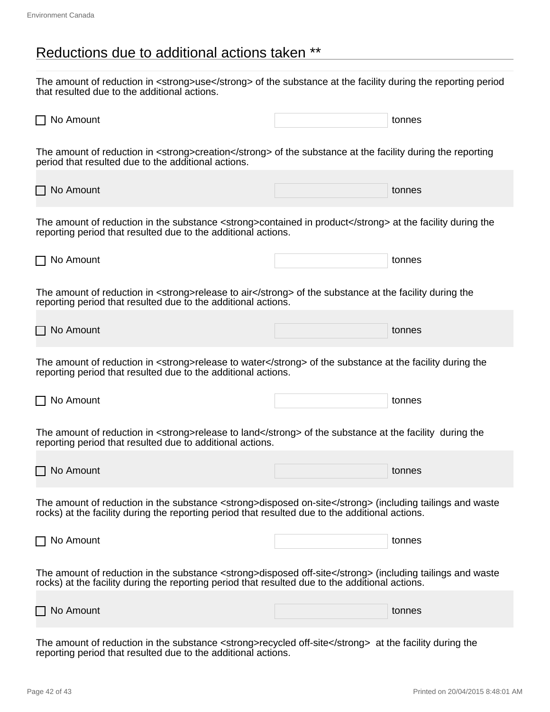### Reductions due to additional actions taken \*\*

The amount of reduction in <strong>use</strong> of the substance at the facility during the reporting period that resulted due to the additional actions.

| $\Box$ No Amount                                                                                                                                                                                             | tonnes |
|--------------------------------------------------------------------------------------------------------------------------------------------------------------------------------------------------------------|--------|
| The amount of reduction in <strong>creation</strong> of the substance at the facility during the reporting<br>period that resulted due to the additional actions.                                            |        |
| $\Box$ No Amount                                                                                                                                                                                             | tonnes |
| The amount of reduction in the substance <strong>contained in product</strong> at the facility during the<br>reporting period that resulted due to the additional actions.                                   |        |
| $\Box$ No Amount                                                                                                                                                                                             | tonnes |
| The amount of reduction in <strong>release to air</strong> of the substance at the facility during the<br>reporting period that resulted due to the additional actions.                                      |        |
| $\Box$ No Amount                                                                                                                                                                                             | tonnes |
| The amount of reduction in <strong>release to water</strong> of the substance at the facility during the<br>reporting period that resulted due to the additional actions.                                    |        |
| $\Box$ No Amount                                                                                                                                                                                             | tonnes |
| The amount of reduction in <strong>release to land</strong> of the substance at the facility during the<br>reporting period that resulted due to additional actions.                                         |        |
| $\Box$ No Amount                                                                                                                                                                                             | tonnes |
| The amount of reduction in the substance <strong>disposed on-site</strong> (including tailings and waste<br>rocks) at the facility during the reporting period that resulted due to the additional actions.  |        |
| $\Box$ No Amount                                                                                                                                                                                             | tonnes |
| The amount of reduction in the substance <strong>disposed off-site</strong> (including tailings and waste<br>rocks) at the facility during the reporting period that resulted due to the additional actions. |        |
| $\Box$ No Amount                                                                                                                                                                                             | tonnes |
| buhatanga atrangsarangalad                                                                                                                                                                                   |        |

The amount of reduction in the substance <strong>recycled off-site</strong> at the facility during the reporting period that resulted due to the additional actions.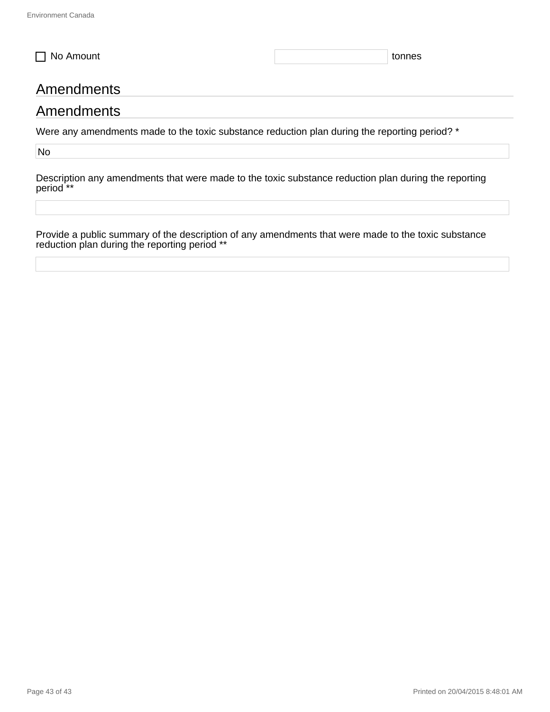□ No Amount tonnes

#### Amendments

#### Amendments

Were any amendments made to the toxic substance reduction plan during the reporting period? \*

No

Description any amendments that were made to the toxic substance reduction plan during the reporting period<sup>\*\*</sup>

Provide a public summary of the description of any amendments that were made to the toxic substance reduction plan during the reporting period \*\*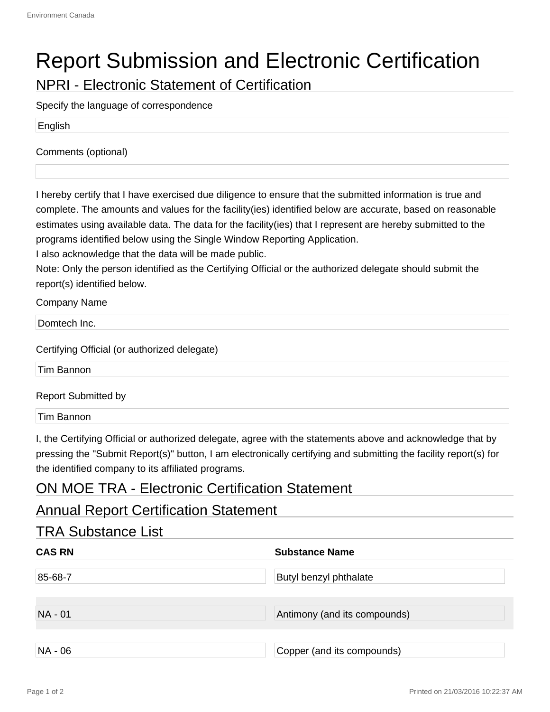# Report Submission and Electronic Certification

NPRI - Electronic Statement of Certification

Specify the language of correspondence

English

Comments (optional)

I hereby certify that I have exercised due diligence to ensure that the submitted information is true and complete. The amounts and values for the facility(ies) identified below are accurate, based on reasonable estimates using available data. The data for the facility(ies) that I represent are hereby submitted to the programs identified below using the Single Window Reporting Application.

I also acknowledge that the data will be made public.

Note: Only the person identified as the Certifying Official or the authorized delegate should submit the report(s) identified below.

Company Name

Domtech Inc.

Certifying Official (or authorized delegate)

Tim Bannon

Report Submitted by

Tim Bannon

I, the Certifying Official or authorized delegate, agree with the statements above and acknowledge that by pressing the "Submit Report(s)" button, I am electronically certifying and submitting the facility report(s) for the identified company to its affiliated programs.

#### ON MOE TRA - Electronic Certification Statement

#### Annual Report Certification Statement

| <b>TRA Substance List</b> |                               |  |  |
|---------------------------|-------------------------------|--|--|
| <b>CAS RN</b>             | <b>Substance Name</b>         |  |  |
| 85-68-7                   | <b>Butyl benzyl phthalate</b> |  |  |
| NA - 01                   | Antimony (and its compounds)  |  |  |
| NA - 06                   | Copper (and its compounds)    |  |  |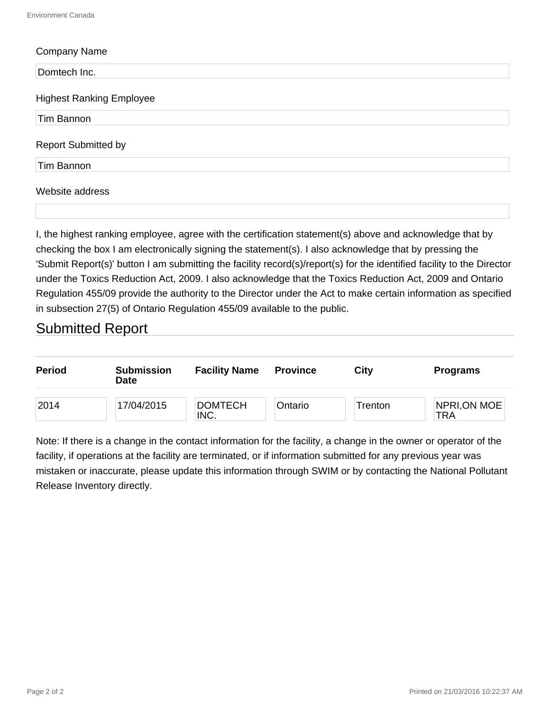| <b>Company Name</b>             |  |
|---------------------------------|--|
| Domtech Inc.                    |  |
| <b>Highest Ranking Employee</b> |  |
| Tim Bannon                      |  |
| <b>Report Submitted by</b>      |  |
| Tim Bannon                      |  |
| Website address                 |  |
|                                 |  |

I, the highest ranking employee, agree with the certification statement(s) above and acknowledge that by checking the box I am electronically signing the statement(s). I also acknowledge that by pressing the 'Submit Report(s)' button I am submitting the facility record(s)/report(s) for the identified facility to the Director under the Toxics Reduction Act, 2009. I also acknowledge that the Toxics Reduction Act, 2009 and Ontario Regulation 455/09 provide the authority to the Director under the Act to make certain information as specified in subsection 27(5) of Ontario Regulation 455/09 available to the public.

#### Submitted Report

| Period | <b>Submission</b><br><b>Date</b> | <b>Facility Name</b>   | <b>Province</b> | City    | <b>Programs</b>     |
|--------|----------------------------------|------------------------|-----------------|---------|---------------------|
| 2014   | 17/04/2015                       | <b>DOMTECH</b><br>INC. | Ontario         | Trenton | NPRI, ON MOE<br>TRA |

Note: If there is a change in the contact information for the facility, a change in the owner or operator of the facility, if operations at the facility are terminated, or if information submitted for any previous year was mistaken or inaccurate, please update this information through SWIM or by contacting the National Pollutant Release Inventory directly.